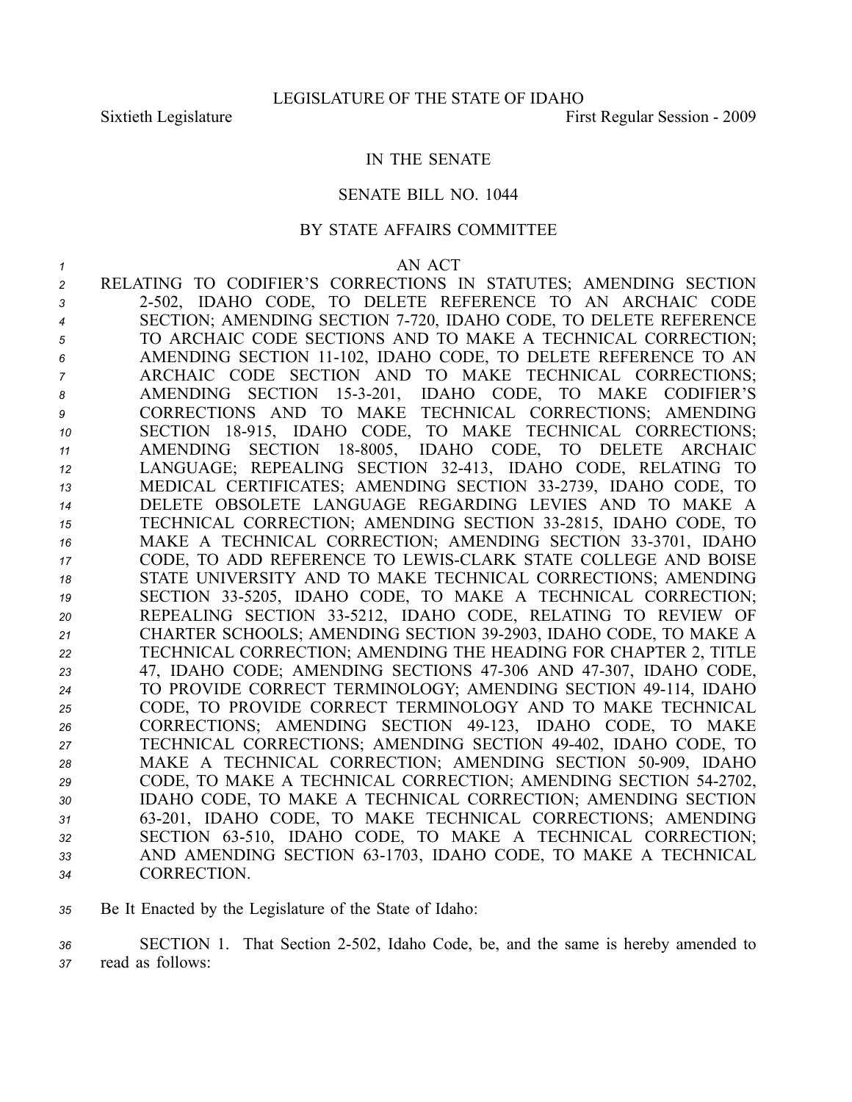#### IN THE SENATE

### SENATE BILL NO. 1044

### BY STATE AFFAIRS COMMITTEE

| 1  | AN ACT                                                                      |
|----|-----------------------------------------------------------------------------|
| 2  | RELATING TO CODIFIER'S CORRECTIONS IN STATUTES; AMENDING SECTION            |
| 3  | 2-502, IDAHO CODE, TO DELETE REFERENCE TO AN ARCHAIC CODE                   |
| 4  | SECTION; AMENDING SECTION 7-720, IDAHO CODE, TO DELETE REFERENCE            |
| 5  | TO ARCHAIC CODE SECTIONS AND TO MAKE A TECHNICAL CORRECTION;                |
| 6  | AMENDING SECTION 11-102, IDAHO CODE, TO DELETE REFERENCE TO AN              |
| 7  | ARCHAIC CODE SECTION AND TO MAKE TECHNICAL CORRECTIONS;                     |
| 8  | AMENDING SECTION 15-3-201, IDAHO CODE, TO MAKE<br><b>CODIFIER'S</b>         |
| 9  | CORRECTIONS AND TO MAKE TECHNICAL CORRECTIONS; AMENDING                     |
| 10 | SECTION 18-915, IDAHO CODE, TO MAKE TECHNICAL CORRECTIONS;                  |
| 11 | SECTION 18-8005, IDAHO CODE, TO DELETE<br><b>AMENDING</b><br><b>ARCHAIC</b> |
| 12 | LANGUAGE; REPEALING SECTION 32-413, IDAHO CODE, RELATING TO                 |
| 13 | MEDICAL CERTIFICATES; AMENDING SECTION 33-2739, IDAHO CODE, TO              |
| 14 | DELETE OBSOLETE LANGUAGE REGARDING LEVIES AND TO MAKE A                     |
| 15 | TECHNICAL CORRECTION; AMENDING SECTION 33-2815, IDAHO CODE, TO              |
| 16 | MAKE A TECHNICAL CORRECTION; AMENDING SECTION 33-3701, IDAHO                |
| 17 | CODE, TO ADD REFERENCE TO LEWIS-CLARK STATE COLLEGE AND BOISE               |
| 18 | STATE UNIVERSITY AND TO MAKE TECHNICAL CORRECTIONS; AMENDING                |
| 19 | SECTION 33-5205, IDAHO CODE, TO MAKE A TECHNICAL CORRECTION;                |
| 20 | REPEALING SECTION 33-5212, IDAHO CODE, RELATING TO REVIEW OF                |
| 21 | CHARTER SCHOOLS; AMENDING SECTION 39-2903, IDAHO CODE, TO MAKE A            |
| 22 | TECHNICAL CORRECTION; AMENDING THE HEADING FOR CHAPTER 2, TITLE             |
| 23 | 47, IDAHO CODE; AMENDING SECTIONS 47-306 AND 47-307, IDAHO CODE,            |
| 24 | TO PROVIDE CORRECT TERMINOLOGY; AMENDING SECTION 49-114, IDAHO              |
| 25 | CODE, TO PROVIDE CORRECT TERMINOLOGY AND TO MAKE TECHNICAL                  |
| 26 | CORRECTIONS; AMENDING SECTION 49-123, IDAHO CODE, TO MAKE                   |
| 27 | TECHNICAL CORRECTIONS; AMENDING SECTION 49-402, IDAHO CODE, TO              |
| 28 | MAKE A TECHNICAL CORRECTION; AMENDING SECTION 50-909, IDAHO                 |
| 29 | CODE, TO MAKE A TECHNICAL CORRECTION; AMENDING SECTION 54-2702,             |
| 30 | IDAHO CODE, TO MAKE A TECHNICAL CORRECTION; AMENDING SECTION                |
| 31 | 63-201, IDAHO CODE, TO MAKE TECHNICAL CORRECTIONS; AMENDING                 |
| 32 | SECTION 63-510, IDAHO CODE, TO MAKE A TECHNICAL CORRECTION;                 |
| 33 | AND AMENDING SECTION 63-1703, IDAHO CODE, TO MAKE A TECHNICAL               |
| 34 | <b>CORRECTION.</b>                                                          |

*<sup>35</sup>* Be It Enacted by the Legislature of the State of Idaho:

*<sup>36</sup>* SECTION 1. That Section 2502, Idaho Code, be, and the same is hereby amended to *<sup>37</sup>* read as follows: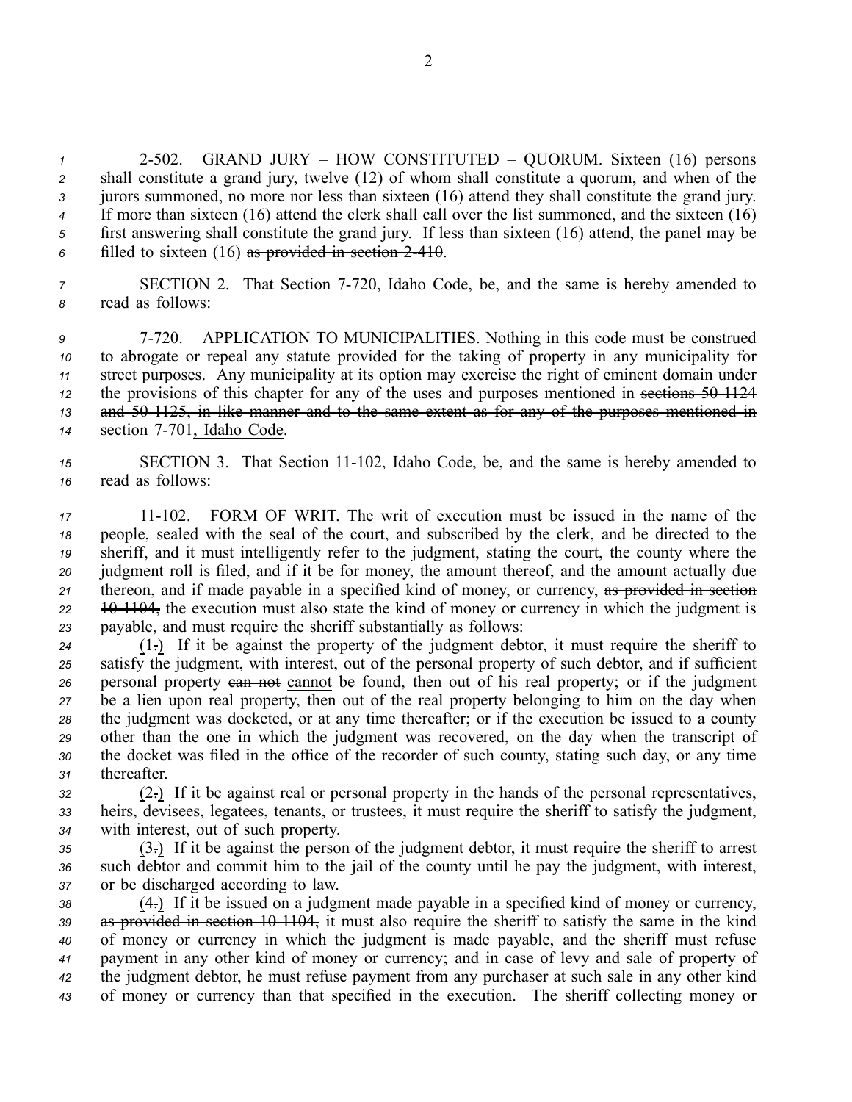2502. GRAND JURY – HOW CONSTITUTED – QUORUM. Sixteen (16) persons shall constitute <sup>a</sup> grand jury, twelve (12) of whom shall constitute <sup>a</sup> quorum, and when of the jurors summoned, no more nor less than sixteen (16) attend they shall constitute the grand jury. If more than sixteen (16) attend the clerk shall call over the list summoned, and the sixteen (16) first answering shall constitute the grand jury. If less than sixteen (16) attend, the panel may be filled to sixteen (16) as provided in section 2410.

*<sup>7</sup>* SECTION 2. That Section 7720, Idaho Code, be, and the same is hereby amended to *<sup>8</sup>* read as follows:

 7720. APPLICATION TO MUNICIPALITIES. Nothing in this code must be construed to abrogate or repeal any statute provided for the taking of property in any municipality for street purposes. Any municipality at its option may exercise the right of eminent domain under the provisions of this chapter for any of the uses and purposes mentioned in sections 50–1124 and 501125, in like manner and to the same extent as for any of the purposes mentioned in section 7-701, Idaho Code.

*<sup>15</sup>* SECTION 3. That Section 11102, Idaho Code, be, and the same is hereby amended to *<sup>16</sup>* read as follows:

 11102. FORM OF WRIT. The writ of execution must be issued in the name of the people, sealed with the seal of the court, and subscribed by the clerk, and be directed to the sheriff, and it must intelligently refer to the judgment, stating the court, the county where the judgment roll is filed, and if it be for money, the amount thereof, and the amount actually due thereon, and if made payable in <sup>a</sup> specified kind of money, or currency, as provided in section 22 10 1104, the execution must also state the kind of money or currency in which the judgment is payable, and must require the sheriff substantially as follows:

 (1.) If it be against the property of the judgment debtor, it must require the sheriff to satisfy the judgment, with interest, out of the personal property of such debtor, and if sufficient personal property can not cannot be found, then out of his real property; or if the judgment be <sup>a</sup> lien upon real property, then out of the real property belonging to him on the day when the judgment was docketed, or at any time thereafter; or if the execution be issued to <sup>a</sup> county other than the one in which the judgment was recovered, on the day when the transcript of the docket was filed in the office of the recorder of such county, stating such day, or any time thereafter.

*<sup>32</sup>* (2.) If it be against real or personal property in the hands of the personal representatives, *<sup>33</sup>* heirs, devisees, legatees, tenants, or trustees, it must require the sheriff to satisfy the judgment, *<sup>34</sup>* with interest, out of such property.

*<sup>35</sup>* (3.) If it be against the person of the judgment debtor, it must require the sheriff to arrest *<sup>36</sup>* such debtor and commit him to the jail of the county until he pay the judgment, with interest, *<sup>37</sup>* or be discharged according to law.

 (4.) If it be issued on <sup>a</sup> judgment made payable in <sup>a</sup> specified kind of money or currency, 39 as provided in section 10-1104, it must also require the sheriff to satisfy the same in the kind of money or currency in which the judgment is made payable, and the sheriff must refuse paymen<sup>t</sup> in any other kind of money or currency; and in case of levy and sale of property of the judgment debtor, he must refuse paymen<sup>t</sup> from any purchaser at such sale in any other kind of money or currency than that specified in the execution. The sheriff collecting money or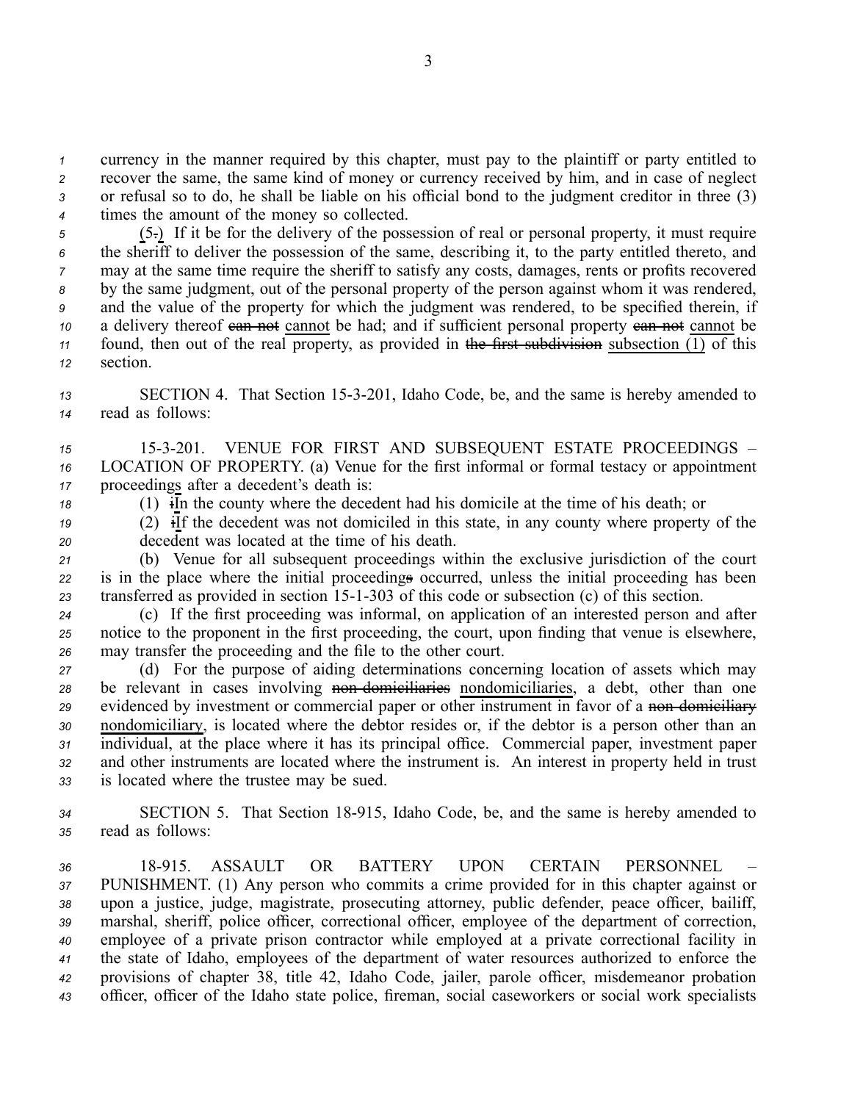currency in the manner required by this chapter, must pay to the plaintiff or party entitled to recover the same, the same kind of money or currency received by him, and in case of neglect or refusal so to do, he shall be liable on his official bond to the judgment creditor in three (3) times the amount of the money so collected.

 (5.) If it be for the delivery of the possession of real or personal property, it must require the sheriff to deliver the possession of the same, describing it, to the party entitled thereto, and may at the same time require the sheriff to satisfy any costs, damages, rents or profits recovered by the same judgment, out of the personal property of the person against whom it was rendered, and the value of the property for which the judgment was rendered, to be specified therein, if a delivery thereof can not cannot be had; and if sufficient personal property can not cannot be found, then out of the real property, as provided in the first subdivision subsection  $(1)$  of this *<sup>12</sup>* section.

*<sup>13</sup>* SECTION 4. That Section 153201, Idaho Code, be, and the same is hereby amended to *<sup>14</sup>* read as follows:

*<sup>15</sup>* 153201. VENUE FOR FIRST AND SUBSEQUENT ESTATE PROCEEDINGS – *<sup>16</sup>* LOCATION OF PROPERTY. (a) Venue for the first informal or formal testacy or appointment *<sup>17</sup>* proceedings after <sup>a</sup> decedent's death is:

*<sup>18</sup>* (1) iIn the county where the decedent had his domicile at the time of his death; or

19 (2)  $\overline{f}$  if the decedent was not domiciled in this state, in any county where property of the *<sup>20</sup>* decedent was located at the time of his death.

*<sup>21</sup>* (b) Venue for all subsequent proceedings within the exclusive jurisdiction of the court *<sup>22</sup>* is in the place where the initial proceedings occurred, unless the initial proceeding has been 23 transferred as provided in section 15-1-303 of this code or subsection (c) of this section.

*<sup>24</sup>* (c) If the first proceeding was informal, on application of an interested person and after *<sup>25</sup>* notice to the proponen<sup>t</sup> in the first proceeding, the court, upon finding that venue is elsewhere, *<sup>26</sup>* may transfer the proceeding and the file to the other court.

 (d) For the purpose of aiding determinations concerning location of assets which may 28 be relevant in cases involving non domiciliaries nondomiciliaries, a debt, other than one 29 evidenced by investment or commercial paper or other instrument in favor of a non-domiciliary nondomiciliary, is located where the debtor resides or, if the debtor is <sup>a</sup> person other than an individual, at the place where it has its principal office. Commercial paper, investment paper and other instruments are located where the instrument is. An interest in property held in trust is located where the trustee may be sued.

*<sup>34</sup>* SECTION 5. That Section 18915, Idaho Code, be, and the same is hereby amended to *<sup>35</sup>* read as follows:

 18915. ASSAULT OR BATTERY UPON CERTAIN PERSONNEL – PUNISHMENT. (1) Any person who commits <sup>a</sup> crime provided for in this chapter against or upon <sup>a</sup> justice, judge, magistrate, prosecuting attorney, public defender, peace officer, bailiff, marshal, sheriff, police officer, correctional officer, employee of the department of correction, employee of <sup>a</sup> private prison contractor while employed at <sup>a</sup> private correctional facility in the state of Idaho, employees of the department of water resources authorized to enforce the provisions of chapter 38, title 42, Idaho Code, jailer, parole officer, misdemeanor probation officer, officer of the Idaho state police, fireman, social caseworkers or social work specialists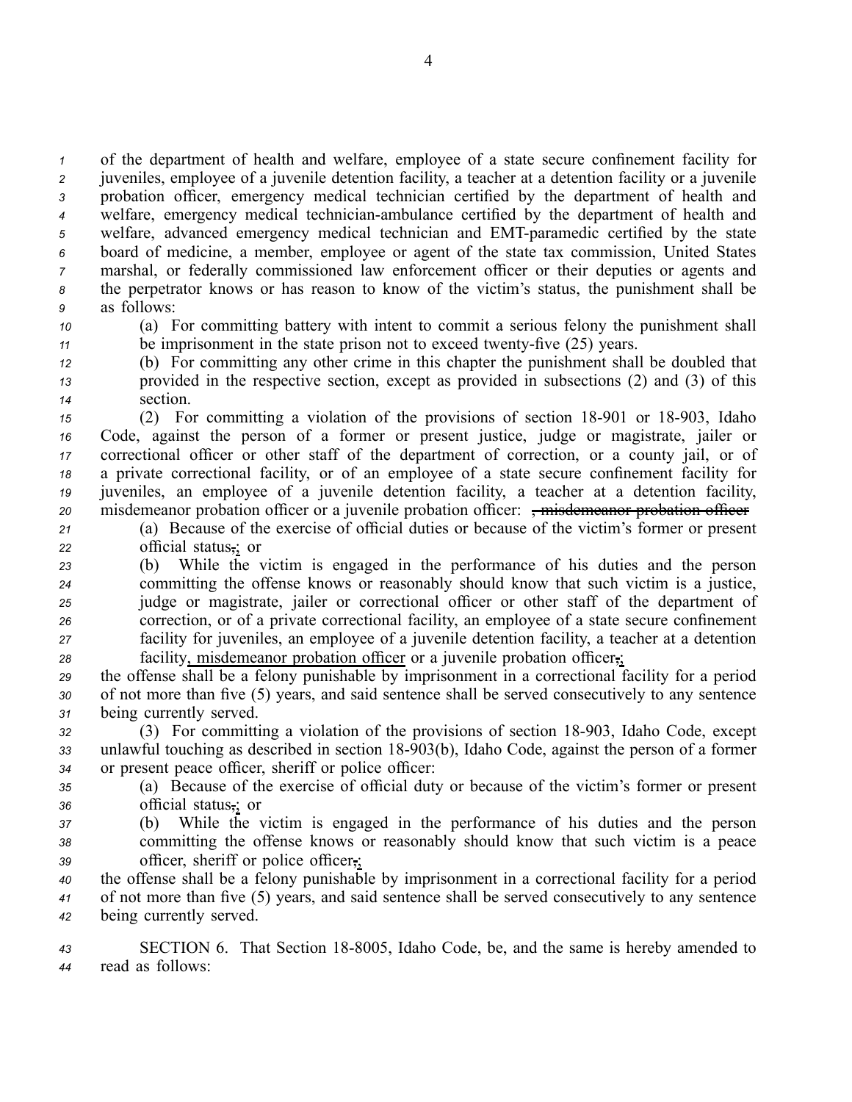of the department of health and welfare, employee of <sup>a</sup> state secure confinement facility for juveniles, employee of <sup>a</sup> juvenile detention facility, <sup>a</sup> teacher at <sup>a</sup> detention facility or <sup>a</sup> juvenile probation officer, emergency medical technician certified by the department of health and <sup>4</sup> welfare, emergency medical technician-ambulance certified by the department of health and 5 welfare, advanced emergency medical technician and EMT-paramedic certified by the state board of medicine, <sup>a</sup> member, employee or agen<sup>t</sup> of the state tax commission, United States marshal, or federally commissioned law enforcement officer or their deputies or agents and the perpetrator knows or has reason to know of the victim's status, the punishment shall be as follows:

*<sup>10</sup>* (a) For committing battery with intent to commit <sup>a</sup> serious felony the punishment shall *11* be imprisonment in the state prison not to exceed twenty-five (25) years.

*<sup>12</sup>* (b) For committing any other crime in this chapter the punishment shall be doubled that *<sup>13</sup>* provided in the respective section, excep<sup>t</sup> as provided in subsections (2) and (3) of this *<sup>14</sup>* section.

 (2) For committing a violation of the provisions of section 18-901 or 18-903, Idaho Code, against the person of <sup>a</sup> former or presen<sup>t</sup> justice, judge or magistrate, jailer or correctional officer or other staff of the department of correction, or <sup>a</sup> county jail, or of <sup>a</sup> private correctional facility, or of an employee of <sup>a</sup> state secure confinement facility for juveniles, an employee of <sup>a</sup> juvenile detention facility, <sup>a</sup> teacher at <sup>a</sup> detention facility, 20 misdemeanor probation officer or a juvenile probation officer:  $\frac{1}{2}$  misdemeanor probation officer

*<sup>21</sup>* (a) Because of the exercise of official duties or because of the victim's former or presen<sup>t</sup> *<sup>22</sup>* official status,; or

- *<sup>23</sup>* (b) While the victim is engaged in the performance of his duties and the person *<sup>24</sup>* committing the offense knows or reasonably should know that such victim is <sup>a</sup> justice, *<sup>25</sup>* judge or magistrate, jailer or correctional officer or other staff of the department of *<sup>26</sup>* correction, or of <sup>a</sup> private correctional facility, an employee of <sup>a</sup> state secure confinement *<sup>27</sup>* facility for juveniles, an employee of <sup>a</sup> juvenile detention facility, <sup>a</sup> teacher at <sup>a</sup> detention *<sup>28</sup>* facility, misdemeanor probation officer or <sup>a</sup> juvenile probation officer,;
- *<sup>29</sup>* the offense shall be <sup>a</sup> felony punishable by imprisonment in <sup>a</sup> correctional facility for <sup>a</sup> period *<sup>30</sup>* of not more than five (5) years, and said sentence shall be served consecutively to any sentence *<sup>31</sup>* being currently served.

32 (3) For committing a violation of the provisions of section 18-903, Idaho Code, except 33 unlawful touching as described in section 18-903(b), Idaho Code, against the person of a former *<sup>34</sup>* or presen<sup>t</sup> peace officer, sheriff or police officer:

*<sup>35</sup>* (a) Because of the exercise of official duty or because of the victim's former or presen<sup>t</sup> *<sup>36</sup>* official status,; or

*<sup>37</sup>* (b) While the victim is engaged in the performance of his duties and the person *<sup>38</sup>* committing the offense knows or reasonably should know that such victim is <sup>a</sup> peace *<sup>39</sup>* officer, sheriff or police officer,;

*<sup>40</sup>* the offense shall be <sup>a</sup> felony punishable by imprisonment in <sup>a</sup> correctional facility for <sup>a</sup> period *<sup>41</sup>* of not more than five (5) years, and said sentence shall be served consecutively to any sentence *<sup>42</sup>* being currently served.

*<sup>43</sup>* SECTION 6. That Section 188005, Idaho Code, be, and the same is hereby amended to *<sup>44</sup>* read as follows: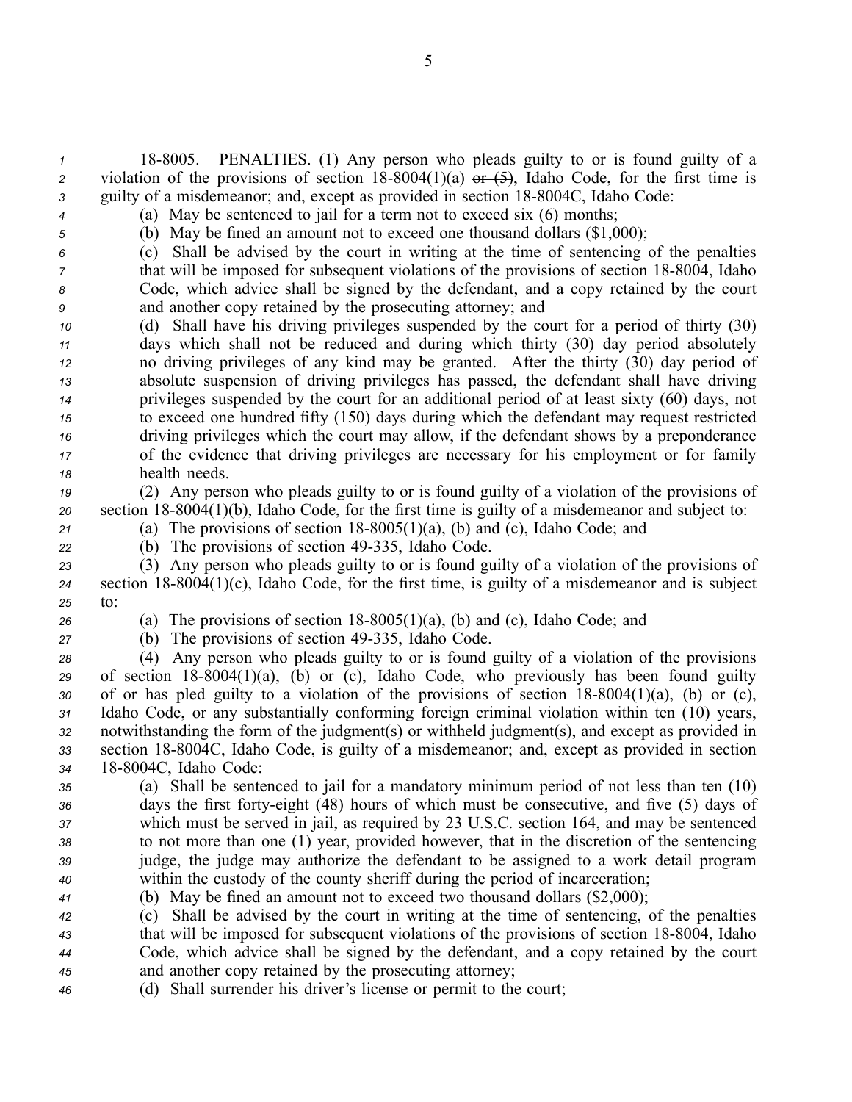*<sup>1</sup>* 188005. PENALTIES. (1) Any person who pleads guilty to or is found guilty of <sup>a</sup> *2* violation of the provisions of section  $18-8004(1)(a)$  or  $(5)$ , Idaho Code, for the first time is *3* guilty of a misdemeanor; and, except as provided in section 18-8004C, Idaho Code:

*<sup>4</sup>* (a) May be sentenced to jail for <sup>a</sup> term not to exceed six (6) months; *<sup>5</sup>* (b) May be fined an amount not to exceed one thousand dollars (\$1,000);

*<sup>6</sup>* (c) Shall be advised by the court in writing at the time of sentencing of the penalties

*7* that will be imposed for subsequent violations of the provisions of section 18-8004, Idaho *<sup>8</sup>* Code, which advice shall be signed by the defendant, and <sup>a</sup> copy retained by the court *<sup>9</sup>* and another copy retained by the prosecuting attorney; and

 (d) Shall have his driving privileges suspended by the court for <sup>a</sup> period of thirty (30) days which shall not be reduced and during which thirty (30) day period absolutely no driving privileges of any kind may be granted. After the thirty (30) day period of absolute suspension of driving privileges has passed, the defendant shall have driving privileges suspended by the court for an additional period of at least sixty (60) days, not to exceed one hundred fifty (150) days during which the defendant may reques<sup>t</sup> restricted driving privileges which the court may allow, if the defendant shows by <sup>a</sup> preponderance of the evidence that driving privileges are necessary for his employment or for family health needs.

*<sup>19</sup>* (2) Any person who pleads guilty to or is found guilty of <sup>a</sup> violation of the provisions of 20 section 18-8004(1)(b), Idaho Code, for the first time is guilty of a misdemeanor and subject to:

21 (a) The provisions of section  $18-8005(1)(a)$ , (b) and (c), Idaho Code; and

*<sup>22</sup>* (b) The provisions of section 49335, Idaho Code.

*<sup>23</sup>* (3) Any person who pleads guilty to or is found guilty of <sup>a</sup> violation of the provisions of  $24$  section  $18-8004(1)(c)$ , Idaho Code, for the first time, is guilty of a misdemeanor and is subject *25* to:

*26* (a) The provisions of section  $18-8005(1)(a)$ , (b) and (c), Idaho Code; and

*<sup>27</sup>* (b) The provisions of section 49335, Idaho Code.

 (4) Any person who pleads guilty to or is found guilty of <sup>a</sup> violation of the provisions 29 of section 18-8004(1)(a), (b) or (c), Idaho Code, who previously has been found guilty of or has pled guilty to a violation of the provisions of section  $18-8004(1)(a)$ , (b) or (c), Idaho Code, or any substantially conforming foreign criminal violation within ten (10) years, notwithstanding the form of the judgment(s) or withheld judgment(s), and excep<sup>t</sup> as provided in section 188004C, Idaho Code, is guilty of <sup>a</sup> misdemeanor; and, excep<sup>t</sup> as provided in section 188004C, Idaho Code:

 (a) Shall be sentenced to jail for <sup>a</sup> mandatory minimum period of not less than ten (10) days the first fortyeight (48) hours of which must be consecutive, and five (5) days of which must be served in jail, as required by 23 U.S.C. section 164, and may be sentenced to not more than one (1) year, provided however, that in the discretion of the sentencing judge, the judge may authorize the defendant to be assigned to <sup>a</sup> work detail program within the custody of the county sheriff during the period of incarceration;

*<sup>41</sup>* (b) May be fined an amount not to exceed two thousand dollars (\$2,000);

 (c) Shall be advised by the court in writing at the time of sentencing, of the penalties <sup>43</sup> that will be imposed for subsequent violations of the provisions of section 18-8004, Idaho Code, which advice shall be signed by the defendant, and <sup>a</sup> copy retained by the court and another copy retained by the prosecuting attorney;

*<sup>46</sup>* (d) Shall surrender his driver's license or permit to the court;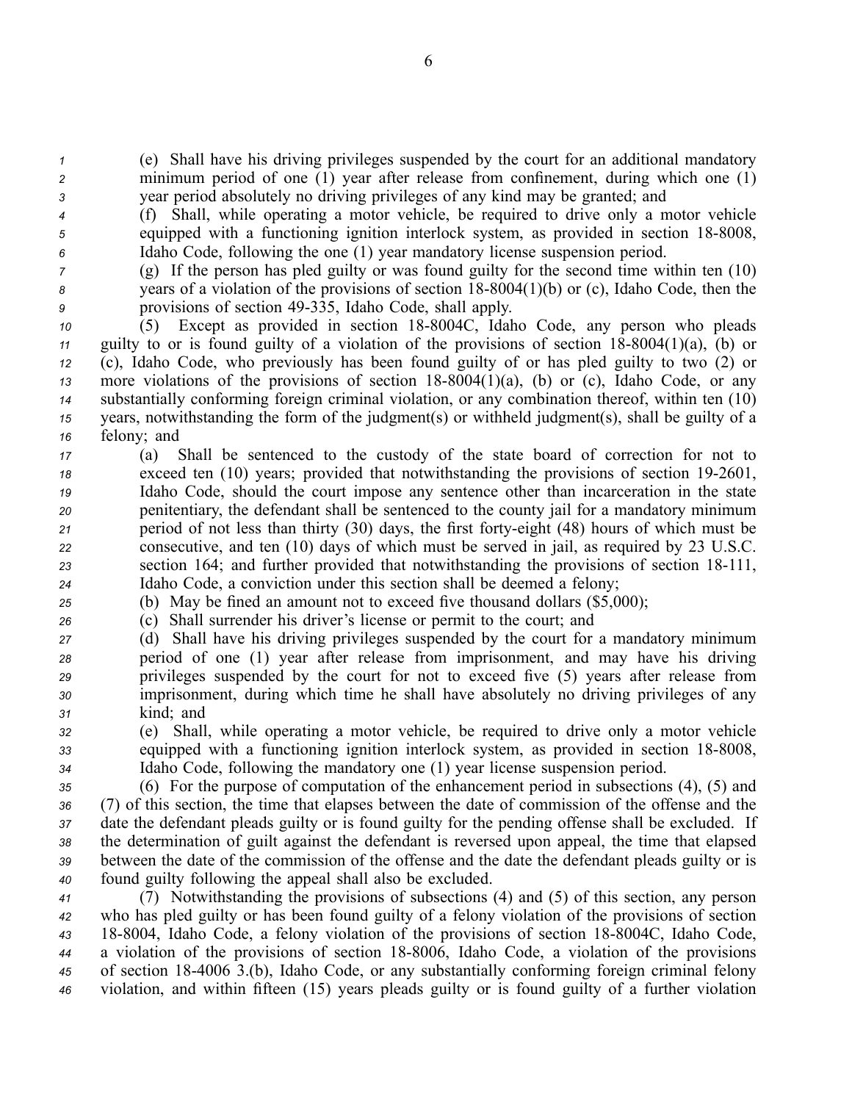*<sup>1</sup>* (e) Shall have his driving privileges suspended by the court for an additional mandatory *<sup>2</sup>* minimum period of one (1) year after release from confinement, during which one (1) *<sup>3</sup>* year period absolutely no driving privileges of any kind may be granted; and

*<sup>4</sup>* (f) Shall, while operating <sup>a</sup> motor vehicle, be required to drive only <sup>a</sup> motor vehicle  $\sigma$  equipped with a functioning ignition interlock system, as provided in section 18-8008, *<sup>6</sup>* Idaho Code, following the one (1) year mandatory license suspension period.

*<sup>7</sup>* (g) If the person has pled guilty or was found guilty for the second time within ten (10) *8* years of a violation of the provisions of section 18-8004(1)(b) or (c), Idaho Code, then the *<sup>9</sup>* provisions of section 49335, Idaho Code, shall apply.

 (5) Except as provided in section 188004C, Idaho Code, any person who pleads guilty to or is found guilty of a violation of the provisions of section  $18-8004(1)(a)$ , (b) or (c), Idaho Code, who previously has been found guilty of or has pled guilty to two (2) or more violations of the provisions of section  $18-8004(1)(a)$ , (b) or (c), Idaho Code, or any substantially conforming foreign criminal violation, or any combination thereof, within ten (10) years, notwithstanding the form of the judgment(s) or withheld judgment(s), shall be guilty of <sup>a</sup> felony; and

 (a) Shall be sentenced to the custody of the state board of correction for not to <sup>18</sup> exceed ten (10) years; provided that notwithstanding the provisions of section 19-2601, Idaho Code, should the court impose any sentence other than incarceration in the state penitentiary, the defendant shall be sentenced to the county jail for <sup>a</sup> mandatory minimum period of not less than thirty (30) days, the first fortyeight (48) hours of which must be consecutive, and ten (10) days of which must be served in jail, as required by 23 U.S.C. 23 section 164; and further provided that notwithstanding the provisions of section 18-111, Idaho Code, <sup>a</sup> conviction under this section shall be deemed <sup>a</sup> felony;

*<sup>25</sup>* (b) May be fined an amount not to exceed five thousand dollars (\$5,000);

*<sup>26</sup>* (c) Shall surrender his driver's license or permit to the court; and

 (d) Shall have his driving privileges suspended by the court for <sup>a</sup> mandatory minimum period of one (1) year after release from imprisonment, and may have his driving privileges suspended by the court for not to exceed five (5) years after release from imprisonment, during which time he shall have absolutely no driving privileges of any kind; and

*<sup>32</sup>* (e) Shall, while operating <sup>a</sup> motor vehicle, be required to drive only <sup>a</sup> motor vehicle 33 equipped with a functioning ignition interlock system, as provided in section 18-8008, *<sup>34</sup>* Idaho Code, following the mandatory one (1) year license suspension period.

 (6) For the purpose of computation of the enhancement period in subsections (4), (5) and (7) of this section, the time that elapses between the date of commission of the offense and the date the defendant pleads guilty or is found guilty for the pending offense shall be excluded. If the determination of guilt against the defendant is reversed upon appeal, the time that elapsed between the date of the commission of the offense and the date the defendant pleads guilty or is found guilty following the appeal shall also be excluded.

 (7) Notwithstanding the provisions of subsections (4) and (5) of this section, any person who has pled guilty or has been found guilty of <sup>a</sup> felony violation of the provisions of section 43 18-8004, Idaho Code, a felony violation of the provisions of section 18-8004C, Idaho Code, <sup>a</sup> violation of the provisions of section 188006, Idaho Code, <sup>a</sup> violation of the provisions of section 184006 3.(b), Idaho Code, or any substantially conforming foreign criminal felony violation, and within fifteen (15) years pleads guilty or is found guilty of <sup>a</sup> further violation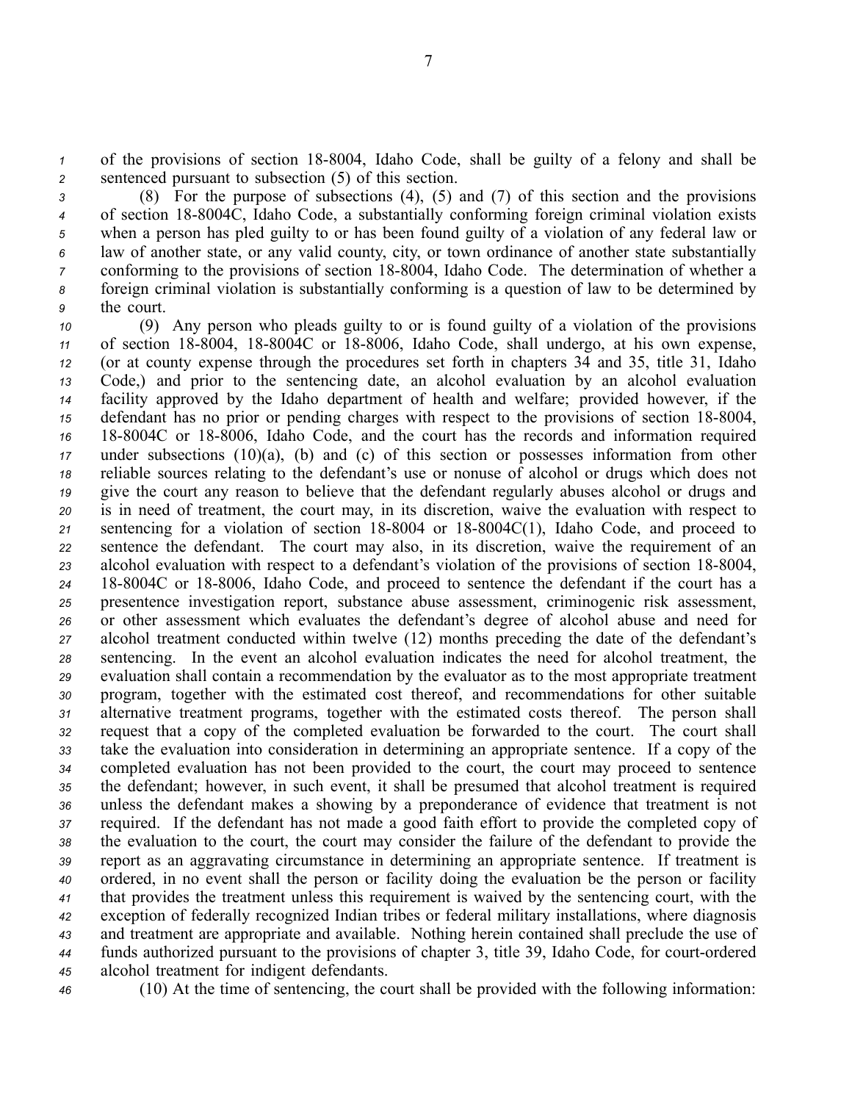*1* of the provisions of section 18-8004, Idaho Code, shall be guilty of a felony and shall be *<sup>2</sup>* sentenced pursuan<sup>t</sup> to subsection (5) of this section.

 (8) For the purpose of subsections (4), (5) and (7) of this section and the provisions <sup>4</sup> of section 18-8004C, Idaho Code, a substantially conforming foreign criminal violation exists when <sup>a</sup> person has pled guilty to or has been found guilty of <sup>a</sup> violation of any federal law or law of another state, or any valid county, city, or town ordinance of another state substantially conforming to the provisions of section 18-8004, Idaho Code. The determination of whether a foreign criminal violation is substantially conforming is <sup>a</sup> question of law to be determined by the court.

 (9) Any person who pleads guilty to or is found guilty of <sup>a</sup> violation of the provisions 11 of section 18-8004, 18-8004C or 18-8006, Idaho Code, shall undergo, at his own expense, (or at county expense through the procedures set forth in chapters 34 and 35, title 31, Idaho Code,) and prior to the sentencing date, an alcohol evaluation by an alcohol evaluation facility approved by the Idaho department of health and welfare; provided however, if the defendant has no prior or pending charges with respect to the provisions of section 18-8004, 16 18-8004C or 18-8006, Idaho Code, and the court has the records and information required under subsections (10)(a), (b) and (c) of this section or possesses information from other reliable sources relating to the defendant's use or nonuse of alcohol or drugs which does not give the court any reason to believe that the defendant regularly abuses alcohol or drugs and is in need of treatment, the court may, in its discretion, waive the evaluation with respec<sup>t</sup> to sentencing for a violation of section  $18-8004$  or  $18-8004C(1)$ , Idaho Code, and proceed to sentence the defendant. The court may also, in its discretion, waive the requirement of an 23 alcohol evaluation with respect to a defendant's violation of the provisions of section 18-8004, 24 18-8004C or 18-8006, Idaho Code, and proceed to sentence the defendant if the court has a presentence investigation report, substance abuse assessment, criminogenic risk assessment, or other assessment which evaluates the defendant's degree of alcohol abuse and need for alcohol treatment conducted within twelve (12) months preceding the date of the defendant's sentencing. In the event an alcohol evaluation indicates the need for alcohol treatment, the evaluation shall contain <sup>a</sup> recommendation by the evaluator as to the most appropriate treatment program, together with the estimated cost thereof, and recommendations for other suitable alternative treatment programs, together with the estimated costs thereof. The person shall reques<sup>t</sup> that <sup>a</sup> copy of the completed evaluation be forwarded to the court. The court shall take the evaluation into consideration in determining an appropriate sentence. If <sup>a</sup> copy of the completed evaluation has not been provided to the court, the court may proceed to sentence the defendant; however, in such event, it shall be presumed that alcohol treatment is required unless the defendant makes <sup>a</sup> showing by <sup>a</sup> preponderance of evidence that treatment is not required. If the defendant has not made <sup>a</sup> good faith effort to provide the completed copy of the evaluation to the court, the court may consider the failure of the defendant to provide the repor<sup>t</sup> as an aggravating circumstance in determining an appropriate sentence. If treatment is ordered, in no event shall the person or facility doing the evaluation be the person or facility that provides the treatment unless this requirement is waived by the sentencing court, with the exception of federally recognized Indian tribes or federal military installations, where diagnosis and treatment are appropriate and available. Nothing herein contained shall preclude the use of funds authorized pursuant to the provisions of chapter 3, title 39, Idaho Code, for court-ordered alcohol treatment for indigent defendants.

*<sup>46</sup>* (10) At the time of sentencing, the court shall be provided with the following information: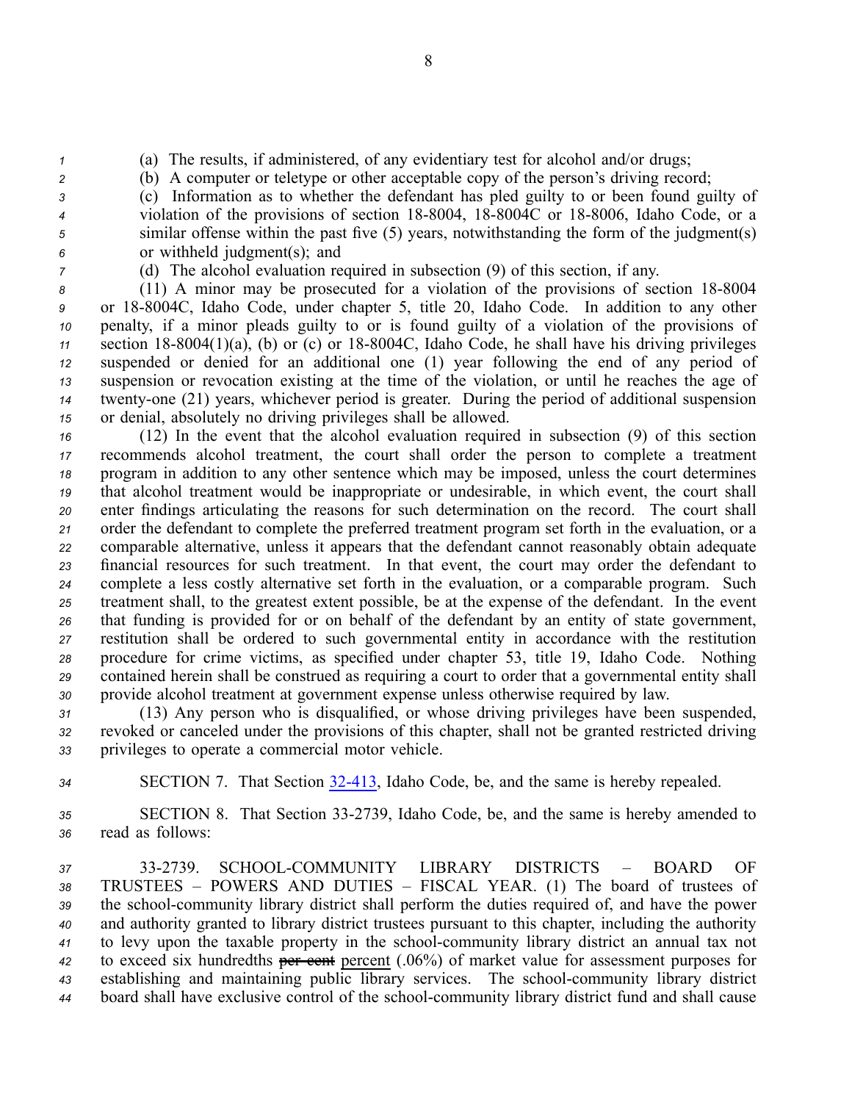*<sup>1</sup>* (a) The results, if administered, of any evidentiary test for alcohol and/or drugs;

*<sup>2</sup>* (b) A computer or teletype or other acceptable copy of the person's driving record;

 (c) Information as to whether the defendant has pled guilty to or been found guilty of violation of the provisions of section 18-8004, 18-8004C or 18-8006, Idaho Code, or a similar offense within the pas<sup>t</sup> five (5) years, notwithstanding the form of the judgment(s) or withheld judgment(s); and

*<sup>7</sup>* (d) The alcohol evaluation required in subsection (9) of this section, if any.

8 (11) A minor may be prosecuted for a violation of the provisions of section 18-8004 or 188004C, Idaho Code, under chapter 5, title 20, Idaho Code. In addition to any other penalty, if <sup>a</sup> minor pleads guilty to or is found guilty of <sup>a</sup> violation of the provisions of 11 section 18-8004(1)(a), (b) or (c) or 18-8004C, Idaho Code, he shall have his driving privileges suspended or denied for an additional one (1) year following the end of any period of suspension or revocation existing at the time of the violation, or until he reaches the age of twenty-one (21) years, whichever period is greater. During the period of additional suspension or denial, absolutely no driving privileges shall be allowed.

 (12) In the event that the alcohol evaluation required in subsection (9) of this section recommends alcohol treatment, the court shall order the person to complete <sup>a</sup> treatment program in addition to any other sentence which may be imposed, unless the court determines that alcohol treatment would be inappropriate or undesirable, in which event, the court shall enter findings articulating the reasons for such determination on the record. The court shall order the defendant to complete the preferred treatment program set forth in the evaluation, or <sup>a</sup> comparable alternative, unless it appears that the defendant cannot reasonably obtain adequate financial resources for such treatment. In that event, the court may order the defendant to complete <sup>a</sup> less costly alternative set forth in the evaluation, or <sup>a</sup> comparable program. Such treatment shall, to the greatest extent possible, be at the expense of the defendant. In the event that funding is provided for or on behalf of the defendant by an entity of state government, restitution shall be ordered to such governmental entity in accordance with the restitution procedure for crime victims, as specified under chapter 53, title 19, Idaho Code. Nothing contained herein shall be construed as requiring <sup>a</sup> court to order that <sup>a</sup> governmental entity shall provide alcohol treatment at governmen<sup>t</sup> expense unless otherwise required by law.

*<sup>31</sup>* (13) Any person who is disqualified, or whose driving privileges have been suspended, *<sup>32</sup>* revoked or canceled under the provisions of this chapter, shall not be granted restricted driving *<sup>33</sup>* privileges to operate <sup>a</sup> commercial motor vehicle.

*<sup>34</sup>* SECTION 7. That Section [32413](http://www.legislature.idaho.gov/idstat/Title32/T32CH4SECT32-413.htm), Idaho Code, be, and the same is hereby repealed.

*<sup>35</sup>* SECTION 8. That Section 332739, Idaho Code, be, and the same is hereby amended to *<sup>36</sup>* read as follows:

 332739. SCHOOLCOMMUNITY LIBRARY DISTRICTS – BOARD OF TRUSTEES – POWERS AND DUTIES – FISCAL YEAR. (1) The board of trustees of the schoolcommunity library district shall perform the duties required of, and have the power and authority granted to library district trustees pursuan<sup>t</sup> to this chapter, including the authority to levy upon the taxable property in the schoolcommunity library district an annual tax not to exceed six hundredths per cent percen<sup>t</sup> (.06%) of market value for assessment purposes for establishing and maintaining public library services. The schoolcommunity library district 44 board shall have exclusive control of the school-community library district fund and shall cause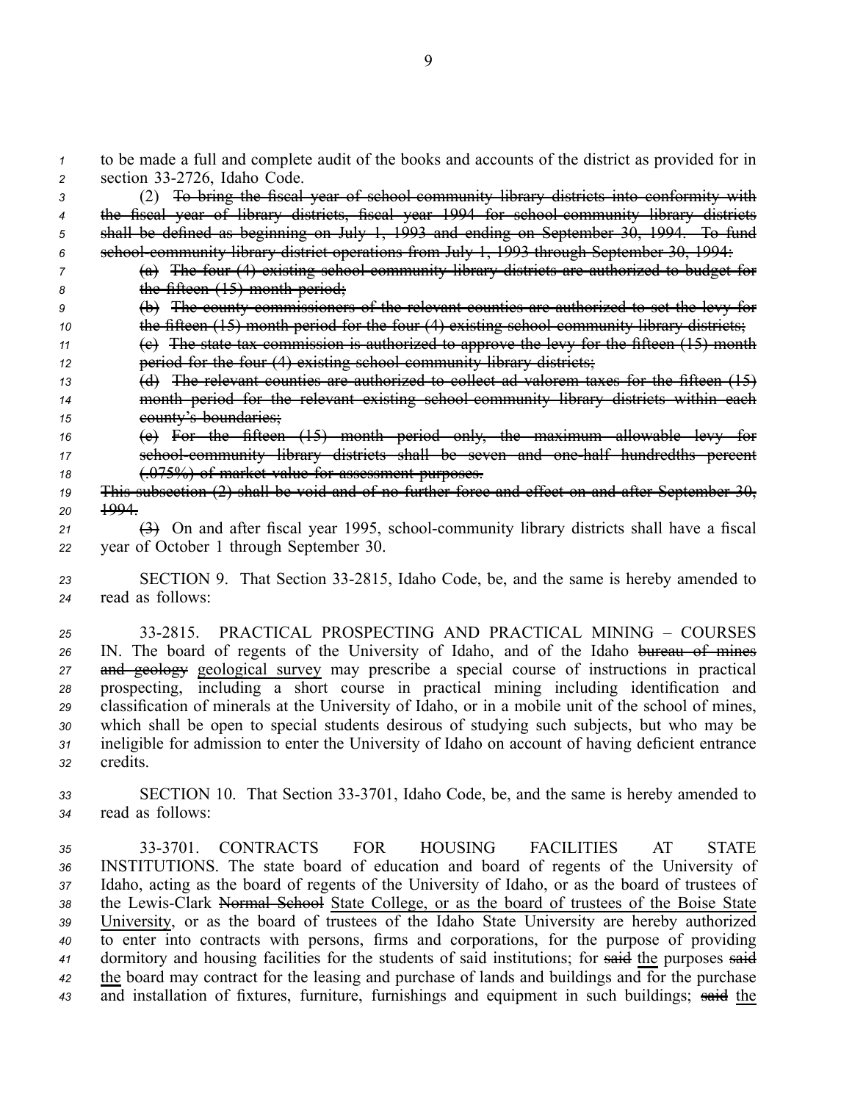*<sup>1</sup>* to be made <sup>a</sup> full and complete audit of the books and accounts of the district as provided for in z section 33-2726, Idaho Code.

 (2) To bring the fiscal year of schoolcommunity library districts into conformity with the fiscal year of library districts, fiscal year 1994 for schoolcommunity library districts shall be defined as beginning on July 1, 1993 and ending on September 30, 1994. To fund <sup>6</sup> school community library district operations from July 1, 1993 through September 30, 1994: (a) The four (4) existing schoolcommunity library districts are authorized to budget for

*<sup>8</sup>* the fifteen (15) month period;

- *<sup>9</sup>* (b) The county commissioners of the relevant counties are authorized to set the levy for *10* **the fifteen (15) month period for the four (4) existing school community library districts;**
- *<sup>11</sup>* (c) The state tax commission is authorized to approve the levy for the fifteen (15) month *12* **period for the four (4) existing school community library districts;**
- *<sup>13</sup>* (d) The relevant counties are authorized to collect ad valorem taxes for the fifteen (15) *<sup>14</sup>* month period for the relevant existing schoolcommunity library districts within each *<sup>15</sup>* county's boundaries;
- *<sup>16</sup>* (e) For the fifteen (15) month period only, the maximum allowable levy for 17 school community library districts shall be seven and one half hundredths percent *<sup>18</sup>* (.075%) of market value for assessment purposes.
- *<sup>19</sup>* This subsection (2) shall be void and of no further force and effect on and after September 30, *20* 1994.
- $\left(\frac{3}{2}\right)$  On and after fiscal year 1995, school-community library districts shall have a fiscal *<sup>22</sup>* year of October 1 through September 30.
- 23 SECTION 9. That Section 33-2815, Idaho Code, be, and the same is hereby amended to *<sup>24</sup>* read as follows:
- *25* 332815. PRACTICAL PROSPECTING AND PRACTICAL MINING COURSES *<sup>26</sup>* IN. The board of regents of the University of Idaho, and of the Idaho bureau of mines *<sup>27</sup>* and geology geological survey may prescribe <sup>a</sup> special course of instructions in practical *<sup>28</sup>* prospecting, including <sup>a</sup> short course in practical mining including identification and *<sup>29</sup>* classification of minerals at the University of Idaho, or in <sup>a</sup> mobile unit of the school of mines, *<sup>30</sup>* which shall be open to special students desirous of studying such subjects, but who may be *<sup>31</sup>* ineligible for admission to enter the University of Idaho on account of having deficient entrance *<sup>32</sup>* credits.
- *<sup>33</sup>* SECTION 10. That Section 333701, Idaho Code, be, and the same is hereby amended to *<sup>34</sup>* read as follows:

 333701. CONTRACTS FOR HOUSING FACILITIES AT STATE INSTITUTIONS. The state board of education and board of regents of the University of Idaho, acting as the board of regents of the University of Idaho, or as the board of trustees of 38 the Lewis-Clark Normal School State College, or as the board of trustees of the Boise State University, or as the board of trustees of the Idaho State University are hereby authorized to enter into contracts with persons, firms and corporations, for the purpose of providing dormitory and housing facilities for the students of said institutions; for said the purposes said the board may contract for the leasing and purchase of lands and buildings and for the purchase and installation of fixtures, furniture, furnishings and equipment in such buildings; said the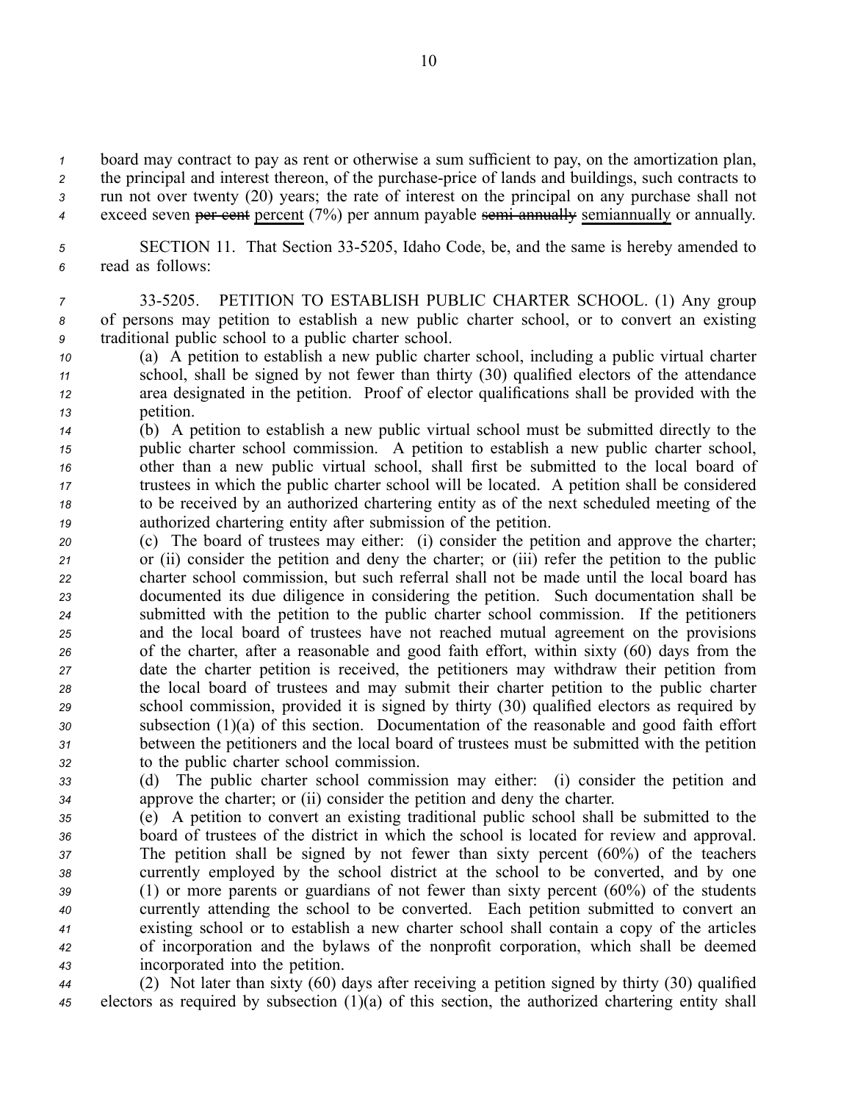board may contract to pay as rent or otherwise <sup>a</sup> sum sufficient to pay, on the amortization plan, 2 the principal and interest thereon, of the purchase-price of lands and buildings, such contracts to run not over twenty (20) years; the rate of interest on the principal on any purchase shall not exceed seven per cent percen<sup>t</sup> (7%) per annum payable semiannually semiannually or annually.

*<sup>5</sup>* SECTION 11. That Section 335205, Idaho Code, be, and the same is hereby amended to *<sup>6</sup>* read as follows:

- *<sup>7</sup>* 335205. PETITION TO ESTABLISH PUBLIC CHARTER SCHOOL. (1) Any group *<sup>8</sup>* of persons may petition to establish <sup>a</sup> new public charter school, or to convert an existing *<sup>9</sup>* traditional public school to <sup>a</sup> public charter school.
- *<sup>10</sup>* (a) A petition to establish <sup>a</sup> new public charter school, including <sup>a</sup> public virtual charter *<sup>11</sup>* school, shall be signed by not fewer than thirty (30) qualified electors of the attendance *<sup>12</sup>* area designated in the petition. Proof of elector qualifications shall be provided with the *<sup>13</sup>* petition.
- *<sup>14</sup>* (b) A petition to establish <sup>a</sup> new public virtual school must be submitted directly to the *<sup>15</sup>* public charter school commission. A petition to establish <sup>a</sup> new public charter school, *<sup>16</sup>* other than <sup>a</sup> new public virtual school, shall first be submitted to the local board of *<sup>17</sup>* trustees in which the public charter school will be located. A petition shall be considered *<sup>18</sup>* to be received by an authorized chartering entity as of the next scheduled meeting of the *<sup>19</sup>* authorized chartering entity after submission of the petition.
- *<sup>20</sup>* (c) The board of trustees may either: (i) consider the petition and approve the charter; *<sup>21</sup>* or (ii) consider the petition and deny the charter; or (iii) refer the petition to the public *<sup>22</sup>* charter school commission, but such referral shall not be made until the local board has *<sup>23</sup>* documented its due diligence in considering the petition. Such documentation shall be *<sup>24</sup>* submitted with the petition to the public charter school commission. If the petitioners *<sup>25</sup>* and the local board of trustees have not reached mutual agreemen<sup>t</sup> on the provisions *<sup>26</sup>* of the charter, after <sup>a</sup> reasonable and good faith effort, within sixty (60) days from the *<sup>27</sup>* date the charter petition is received, the petitioners may withdraw their petition from *<sup>28</sup>* the local board of trustees and may submit their charter petition to the public charter *<sup>29</sup>* school commission, provided it is signed by thirty (30) qualified electors as required by *<sup>30</sup>* subsection (1)(a) of this section. Documentation of the reasonable and good faith effort *<sup>31</sup>* between the petitioners and the local board of trustees must be submitted with the petition *<sup>32</sup>* to the public charter school commission.
- *<sup>33</sup>* (d) The public charter school commission may either: (i) consider the petition and *<sup>34</sup>* approve the charter; or (ii) consider the petition and deny the charter.
- *<sup>35</sup>* (e) A petition to convert an existing traditional public school shall be submitted to the *<sup>36</sup>* board of trustees of the district in which the school is located for review and approval. *<sup>37</sup>* The petition shall be signed by not fewer than sixty percen<sup>t</sup> (60%) of the teachers *<sup>38</sup>* currently employed by the school district at the school to be converted, and by one *<sup>39</sup>* (1) or more parents or guardians of not fewer than sixty percen<sup>t</sup> (60%) of the students *<sup>40</sup>* currently attending the school to be converted. Each petition submitted to convert an *<sup>41</sup>* existing school or to establish <sup>a</sup> new charter school shall contain <sup>a</sup> copy of the articles *<sup>42</sup>* of incorporation and the bylaws of the nonprofit corporation, which shall be deemed *<sup>43</sup>* incorporated into the petition.
- *<sup>44</sup>* (2) Not later than sixty (60) days after receiving <sup>a</sup> petition signed by thirty (30) qualified *<sup>45</sup>* electors as required by subsection (1)(a) of this section, the authorized chartering entity shall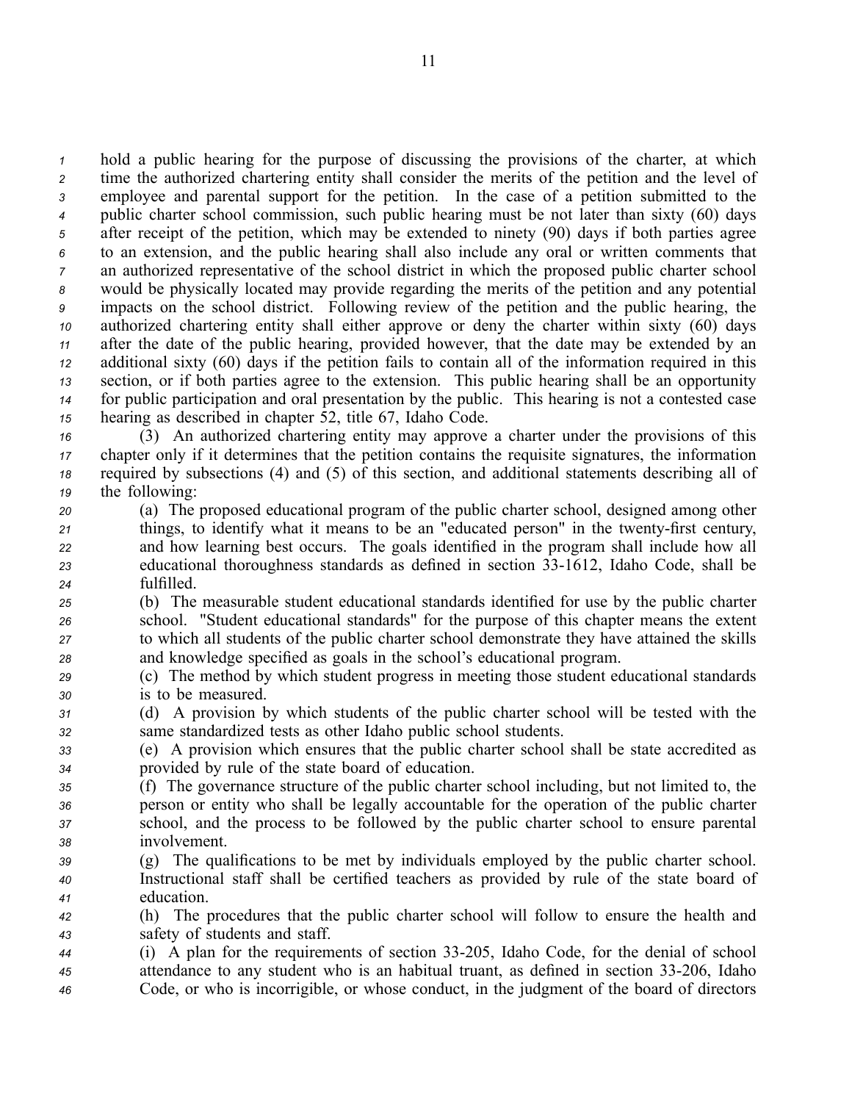hold <sup>a</sup> public hearing for the purpose of discussing the provisions of the charter, at which time the authorized chartering entity shall consider the merits of the petition and the level of employee and parental suppor<sup>t</sup> for the petition. In the case of <sup>a</sup> petition submitted to the public charter school commission, such public hearing must be not later than sixty (60) days after receipt of the petition, which may be extended to ninety (90) days if both parties agree to an extension, and the public hearing shall also include any oral or written comments that an authorized representative of the school district in which the proposed public charter school would be physically located may provide regarding the merits of the petition and any potential impacts on the school district. Following review of the petition and the public hearing, the authorized chartering entity shall either approve or deny the charter within sixty (60) days after the date of the public hearing, provided however, that the date may be extended by an additional sixty (60) days if the petition fails to contain all of the information required in this section, or if both parties agree to the extension. This public hearing shall be an opportunity for public participation and oral presentation by the public. This hearing is not <sup>a</sup> contested case hearing as described in chapter 52, title 67, Idaho Code.

 (3) An authorized chartering entity may approve <sup>a</sup> charter under the provisions of this chapter only if it determines that the petition contains the requisite signatures, the information required by subsections (4) and (5) of this section, and additional statements describing all of the following:

- *<sup>20</sup>* (a) The proposed educational program of the public charter school, designed among other 21 things, to identify what it means to be an "educated person" in the twenty-first century, *<sup>22</sup>* and how learning best occurs. The goals identified in the program shall include how all *<sup>23</sup>* educational thoroughness standards as defined in section 331612, Idaho Code, shall be *<sup>24</sup>* fulfilled.
- *<sup>25</sup>* (b) The measurable student educational standards identified for use by the public charter *<sup>26</sup>* school. "Student educational standards" for the purpose of this chapter means the extent *<sup>27</sup>* to which all students of the public charter school demonstrate they have attained the skills *<sup>28</sup>* and knowledge specified as goals in the school's educational program.
- *<sup>29</sup>* (c) The method by which student progress in meeting those student educational standards *<sup>30</sup>* is to be measured.
- *<sup>31</sup>* (d) A provision by which students of the public charter school will be tested with the *<sup>32</sup>* same standardized tests as other Idaho public school students.
- *<sup>33</sup>* (e) A provision which ensures that the public charter school shall be state accredited as *<sup>34</sup>* provided by rule of the state board of education.
- *<sup>35</sup>* (f) The governance structure of the public charter school including, but not limited to, the *<sup>36</sup>* person or entity who shall be legally accountable for the operation of the public charter *<sup>37</sup>* school, and the process to be followed by the public charter school to ensure parental *<sup>38</sup>* involvement.
- *<sup>39</sup>* (g) The qualifications to be met by individuals employed by the public charter school. *<sup>40</sup>* Instructional staff shall be certified teachers as provided by rule of the state board of *<sup>41</sup>* education.
- *<sup>42</sup>* (h) The procedures that the public charter school will follow to ensure the health and *<sup>43</sup>* safety of students and staff.
- *<sup>44</sup>* (i) A plan for the requirements of section 33205, Idaho Code, for the denial of school <sup>45</sup> attendance to any student who is an habitual truant, as defined in section 33-206, Idaho *<sup>46</sup>* Code, or who is incorrigible, or whose conduct, in the judgment of the board of directors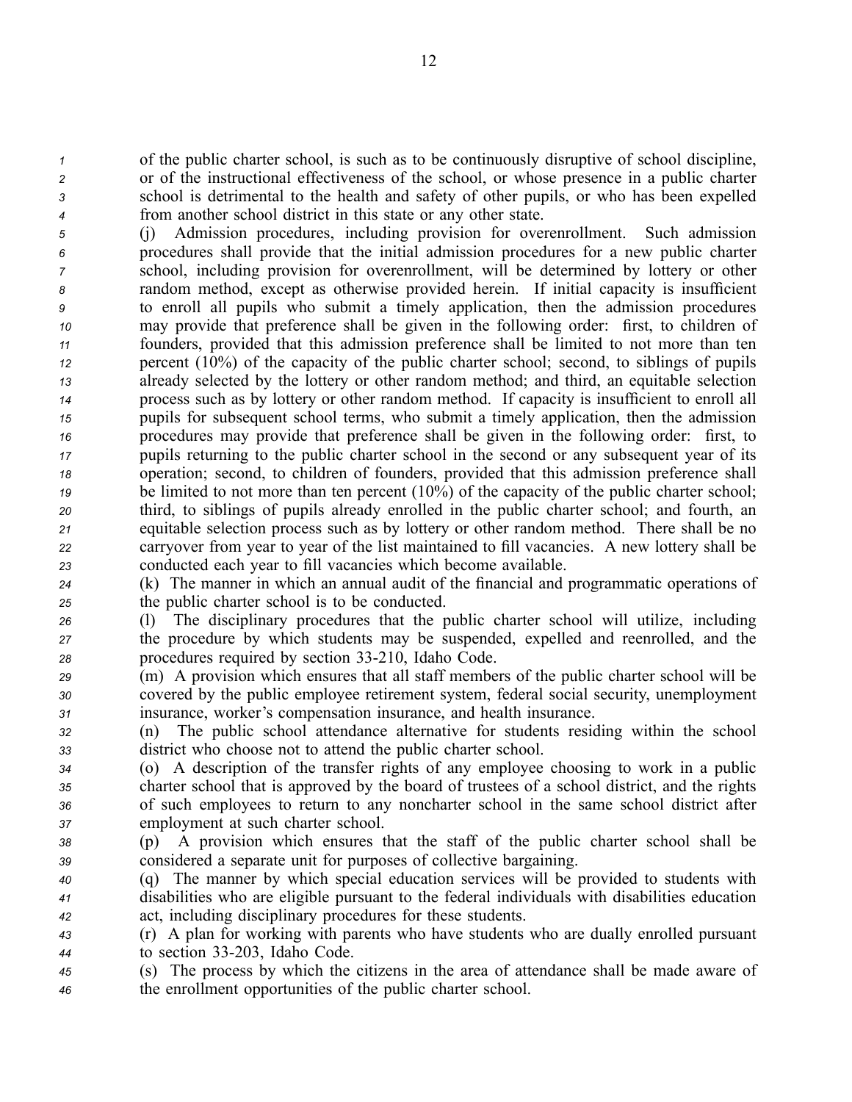of the public charter school, is such as to be continuously disruptive of school discipline, or of the instructional effectiveness of the school, or whose presence in <sup>a</sup> public charter school is detrimental to the health and safety of other pupils, or who has been expelled from another school district in this state or any other state.

 (j) Admission procedures, including provision for overenrollment. Such admission procedures shall provide that the initial admission procedures for <sup>a</sup> new public charter school, including provision for overenrollment, will be determined by lottery or other random method, excep<sup>t</sup> as otherwise provided herein. If initial capacity is insufficient to enroll all pupils who submit <sup>a</sup> timely application, then the admission procedures may provide that preference shall be given in the following order: first, to children of founders, provided that this admission preference shall be limited to not more than ten percen<sup>t</sup> (10%) of the capacity of the public charter school; second, to siblings of pupils already selected by the lottery or other random method; and third, an equitable selection process such as by lottery or other random method. If capacity is insufficient to enroll all pupils for subsequent school terms, who submit <sup>a</sup> timely application, then the admission procedures may provide that preference shall be given in the following order: first, to pupils returning to the public charter school in the second or any subsequent year of its operation; second, to children of founders, provided that this admission preference shall be limited to not more than ten percent (10%) of the capacity of the public charter school; third, to siblings of pupils already enrolled in the public charter school; and fourth, an equitable selection process such as by lottery or other random method. There shall be no carryover from year to year of the list maintained to fill vacancies. A new lottery shall be conducted each year to fill vacancies which become available.

*<sup>24</sup>* (k) The manner in which an annual audit of the financial and programmatic operations of *<sup>25</sup>* the public charter school is to be conducted.

*<sup>26</sup>* (l) The disciplinary procedures that the public charter school will utilize, including *<sup>27</sup>* the procedure by which students may be suspended, expelled and reenrolled, and the 28 **procedures required by section 33-210, Idaho Code.** 

*<sup>29</sup>* (m) A provision which ensures that all staff members of the public charter school will be *<sup>30</sup>* covered by the public employee retirement system, federal social security, unemployment *<sup>31</sup>* insurance, worker's compensation insurance, and health insurance.

*<sup>32</sup>* (n) The public school attendance alternative for students residing within the school *<sup>33</sup>* district who choose not to attend the public charter school.

 (o) A description of the transfer rights of any employee choosing to work in <sup>a</sup> public charter school that is approved by the board of trustees of <sup>a</sup> school district, and the rights of such employees to return to any noncharter school in the same school district after employment at such charter school.

*<sup>38</sup>* (p) A provision which ensures that the staff of the public charter school shall be *<sup>39</sup>* considered <sup>a</sup> separate unit for purposes of collective bargaining.

*<sup>40</sup>* (q) The manner by which special education services will be provided to students with *<sup>41</sup>* disabilities who are eligible pursuan<sup>t</sup> to the federal individuals with disabilities education *<sup>42</sup>* act, including disciplinary procedures for these students.

*<sup>43</sup>* (r) A plan for working with parents who have students who are dually enrolled pursuan<sup>t</sup> *<sup>44</sup>* to section 33203, Idaho Code.

*<sup>45</sup>* (s) The process by which the citizens in the area of attendance shall be made aware of *<sup>46</sup>* the enrollment opportunities of the public charter school.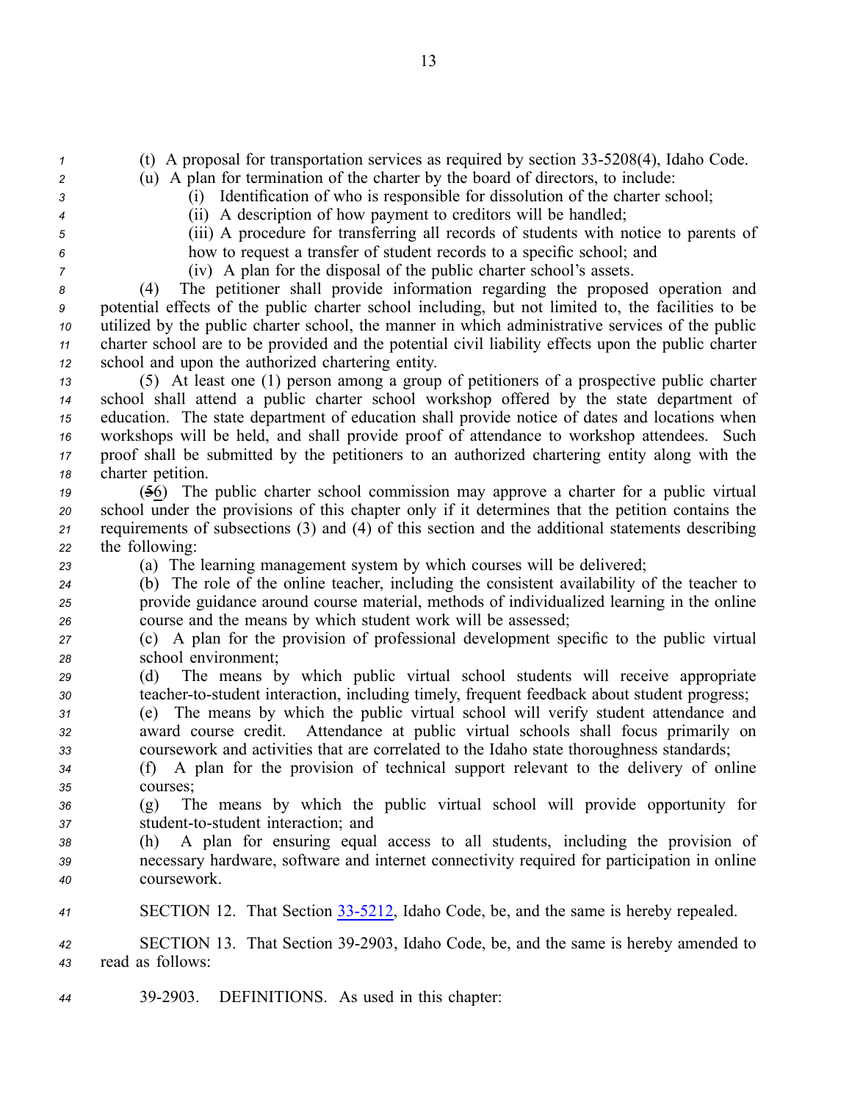*1* (t) A proposal for transportation services as required by section 33-5208(4), Idaho Code.

*<sup>2</sup>* (u) A plan for termination of the charter by the board of directors, to include: *<sup>3</sup>* (i) Identification of who is responsible for dissolution of the charter school;

- *<sup>4</sup>* (ii) A description of how paymen<sup>t</sup> to creditors will be handled;
- 

*<sup>5</sup>* (iii) A procedure for transferring all records of students with notice to parents of *<sup>6</sup>* how to reques<sup>t</sup> <sup>a</sup> transfer of student records to <sup>a</sup> specific school; and

*<sup>7</sup>* (iv) A plan for the disposal of the public charter school's assets.

 (4) The petitioner shall provide information regarding the proposed operation and potential effects of the public charter school including, but not limited to, the facilities to be utilized by the public charter school, the manner in which administrative services of the public charter school are to be provided and the potential civil liability effects upon the public charter school and upon the authorized chartering entity.

 (5) At least one (1) person among <sup>a</sup> group of petitioners of <sup>a</sup> prospective public charter school shall attend <sup>a</sup> public charter school workshop offered by the state department of education. The state department of education shall provide notice of dates and locations when workshops will be held, and shall provide proof of attendance to workshop attendees. Such proof shall be submitted by the petitioners to an authorized chartering entity along with the charter petition.

 (56) The public charter school commission may approve <sup>a</sup> charter for <sup>a</sup> public virtual school under the provisions of this chapter only if it determines that the petition contains the requirements of subsections (3) and (4) of this section and the additional statements describing the following:

*<sup>23</sup>* (a) The learning managemen<sup>t</sup> system by which courses will be delivered;

- *<sup>24</sup>* (b) The role of the online teacher, including the consistent availability of the teacher to *<sup>25</sup>* provide guidance around course material, methods of individualized learning in the online *<sup>26</sup>* course and the means by which student work will be assessed;
- *<sup>27</sup>* (c) A plan for the provision of professional development specific to the public virtual *<sup>28</sup>* school environment;
- *<sup>29</sup>* (d) The means by which public virtual school students will receive appropriate *30* teacher-to-student interaction, including timely, frequent feedback about student progress;

*<sup>31</sup>* (e) The means by which the public virtual school will verify student attendance and *<sup>32</sup>* award course credit. Attendance at public virtual schools shall focus primarily on *<sup>33</sup>* coursework and activities that are correlated to the Idaho state thoroughness standards;

*<sup>34</sup>* (f) A plan for the provision of technical suppor<sup>t</sup> relevant to the delivery of online *35* courses;

*<sup>36</sup>* (g) The means by which the public virtual school will provide opportunity for 37 student-to-student interaction; and

*<sup>38</sup>* (h) A plan for ensuring equal access to all students, including the provision of *<sup>39</sup>* necessary hardware, software and internet connectivity required for participation in online *<sup>40</sup>* coursework.

41 **SECTION 12.** That Section 33-5212, Idaho Code, be, and the same is hereby repealed.

*<sup>42</sup>* SECTION 13. That Section 392903, Idaho Code, be, and the same is hereby amended to *<sup>43</sup>* read as follows:

*<sup>44</sup>* 392903. DEFINITIONS. As used in this chapter: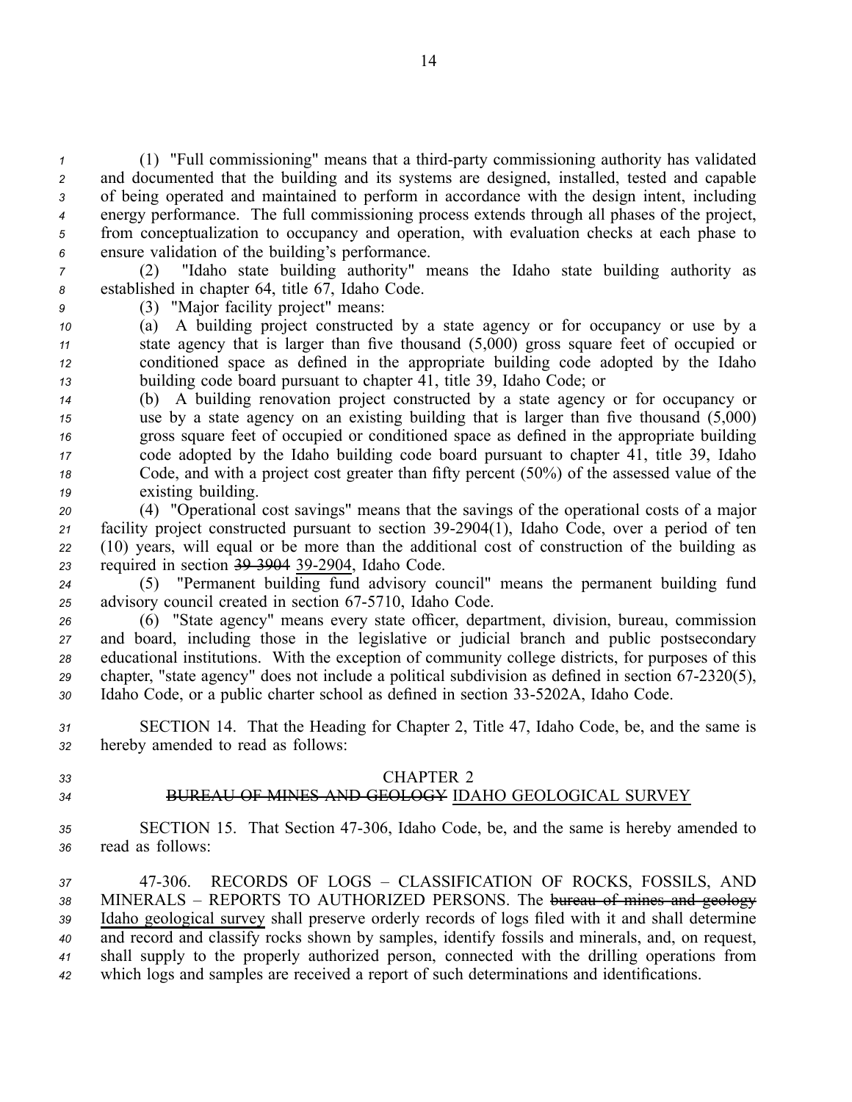(1) "Full commissioning" means that a third-party commissioning authority has validated and documented that the building and its systems are designed, installed, tested and capable of being operated and maintained to perform in accordance with the design intent, including energy performance. The full commissioning process extends through all phases of the project, from conceptualization to occupancy and operation, with evaluation checks at each phase to ensure validation of the building's performance.

*<sup>7</sup>* (2) "Idaho state building authority" means the Idaho state building authority as *<sup>8</sup>* established in chapter 64, title 67, Idaho Code.

*<sup>9</sup>* (3) "Major facility project" means:

 (a) A building project constructed by <sup>a</sup> state agency or for occupancy or use by <sup>a</sup> state agency that is larger than five thousand (5,000) gross square feet of occupied or conditioned space as defined in the appropriate building code adopted by the Idaho building code board pursuan<sup>t</sup> to chapter 41, title 39, Idaho Code; or

 (b) A building renovation project constructed by <sup>a</sup> state agency or for occupancy or use by <sup>a</sup> state agency on an existing building that is larger than five thousand (5,000) gross square feet of occupied or conditioned space as defined in the appropriate building code adopted by the Idaho building code board pursuan<sup>t</sup> to chapter 41, title 39, Idaho Code, and with <sup>a</sup> project cost greater than fifty percen<sup>t</sup> (50%) of the assessed value of the existing building.

 (4) "Operational cost savings" means that the savings of the operational costs of <sup>a</sup> major 21 facility project constructed pursuant to section 39-2904(1), Idaho Code, over a period of ten (10) years, will equal or be more than the additional cost of construction of the building as required in section 393904 392904, Idaho Code.

*<sup>24</sup>* (5) "Permanent building fund advisory council" means the permanen<sup>t</sup> building fund 25 advisory council created in section 67-5710, Idaho Code.

*<sup>26</sup>* (6) "State agency" means every state officer, department, division, bureau, commission *<sup>27</sup>* and board, including those in the legislative or judicial branch and public postsecondary *<sup>28</sup>* educational institutions. With the exception of community college districts, for purposes of this 29 chapter, "state agency" does not include a political subdivision as defined in section 67-2320(5), 30 Idaho Code, or a public charter school as defined in section 33-5202A, Idaho Code.

*<sup>31</sup>* SECTION 14. That the Heading for Chapter 2, Title 47, Idaho Code, be, and the same is *<sup>32</sup>* hereby amended to read as follows:

## *33* CHAPTER 2

# *34* BUREAU OF MINES AND GEOLOGY IDAHO GEOLOGICAL SURVEY

*<sup>35</sup>* SECTION 15. That Section 47306, Idaho Code, be, and the same is hereby amended to *<sup>36</sup>* read as follows:

 47306. RECORDS OF LOGS – CLASSIFICATION OF ROCKS, FOSSILS, AND MINERALS – REPORTS TO AUTHORIZED PERSONS. The bureau of mines and geology Idaho geological survey shall preserve orderly records of logs filed with it and shall determine and record and classify rocks shown by samples, identify fossils and minerals, and, on request, shall supply to the properly authorized person, connected with the drilling operations from which logs and samples are received <sup>a</sup> repor<sup>t</sup> of such determinations and identifications.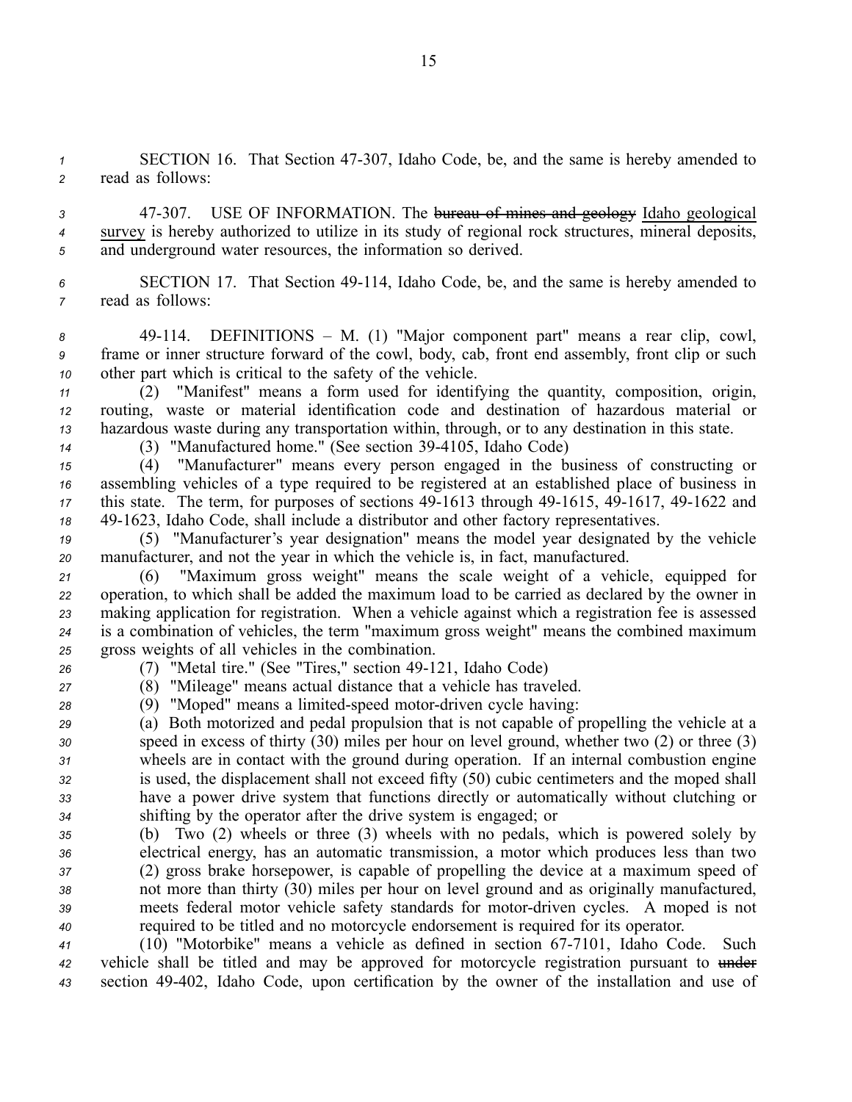*<sup>1</sup>* SECTION 16. That Section 47307, Idaho Code, be, and the same is hereby amended to *<sup>2</sup>* read as follows:

3 47-307. USE OF INFORMATION. The bureau of mines and geology Idaho geological *<sup>4</sup>* survey is hereby authorized to utilize in its study of regional rock structures, mineral deposits, *<sup>5</sup>* and underground water resources, the information so derived.

*<sup>6</sup>* SECTION 17. That Section 49114, Idaho Code, be, and the same is hereby amended to *<sup>7</sup>* read as follows:

8 49-114. DEFINITIONS – M. (1) "Major component part" means a rear clip, cowl, *<sup>9</sup>* frame or inner structure forward of the cowl, body, cab, front end assembly, front clip or such *<sup>10</sup>* other par<sup>t</sup> which is critical to the safety of the vehicle.

*<sup>11</sup>* (2) "Manifest" means <sup>a</sup> form used for identifying the quantity, composition, origin, *<sup>12</sup>* routing, waste or material identification code and destination of hazardous material or *<sup>13</sup>* hazardous waste during any transportation within, through, or to any destination in this state.

*<sup>14</sup>* (3) "Manufactured home." (See section 394105, Idaho Code)

 (4) "Manufacturer" means every person engaged in the business of constructing or assembling vehicles of <sup>a</sup> type required to be registered at an established place of business in this state. The term, for purposes of sections 49-1613 through 49-1615, 49-1617, 49-1622 and 491623, Idaho Code, shall include <sup>a</sup> distributor and other factory representatives.

*<sup>19</sup>* (5) "Manufacturer's year designation" means the model year designated by the vehicle *<sup>20</sup>* manufacturer, and not the year in which the vehicle is, in fact, manufactured.

 (6) "Maximum gross weight" means the scale weight of <sup>a</sup> vehicle, equipped for operation, to which shall be added the maximum load to be carried as declared by the owner in making application for registration. When <sup>a</sup> vehicle against which <sup>a</sup> registration fee is assessed is <sup>a</sup> combination of vehicles, the term "maximum gross weight" means the combined maximum gross weights of all vehicles in the combination.

<sup>26</sup> (7) "Metal tire." (See "Tires," section 49-121, Idaho Code)

*<sup>27</sup>* (8) "Mileage" means actual distance that <sup>a</sup> vehicle has traveled.

28 (9) "Moped" means a limited-speed motor-driven cycle having:

 (a) Both motorized and pedal propulsion that is not capable of propelling the vehicle at <sup>a</sup> speed in excess of thirty (30) miles per hour on level ground, whether two (2) or three (3) wheels are in contact with the ground during operation. If an internal combustion engine is used, the displacement shall not exceed fifty (50) cubic centimeters and the moped shall have <sup>a</sup> power drive system that functions directly or automatically without clutching or shifting by the operator after the drive system is engaged; or

 (b) Two (2) wheels or three (3) wheels with no pedals, which is powered solely by electrical energy, has an automatic transmission, <sup>a</sup> motor which produces less than two (2) gross brake horsepower, is capable of propelling the device at <sup>a</sup> maximum speed of not more than thirty (30) miles per hour on level ground and as originally manufactured, meets federal motor vehicle safety standards for motordriven cycles. A moped is not required to be titled and no motorcycle endorsement is required for its operator.

41 (10) "Motorbike" means a vehicle as defined in section 67-7101, Idaho Code. Such *<sup>42</sup>* vehicle shall be titled and may be approved for motorcycle registration pursuan<sup>t</sup> to under *<sup>43</sup>* section 49402, Idaho Code, upon certification by the owner of the installation and use of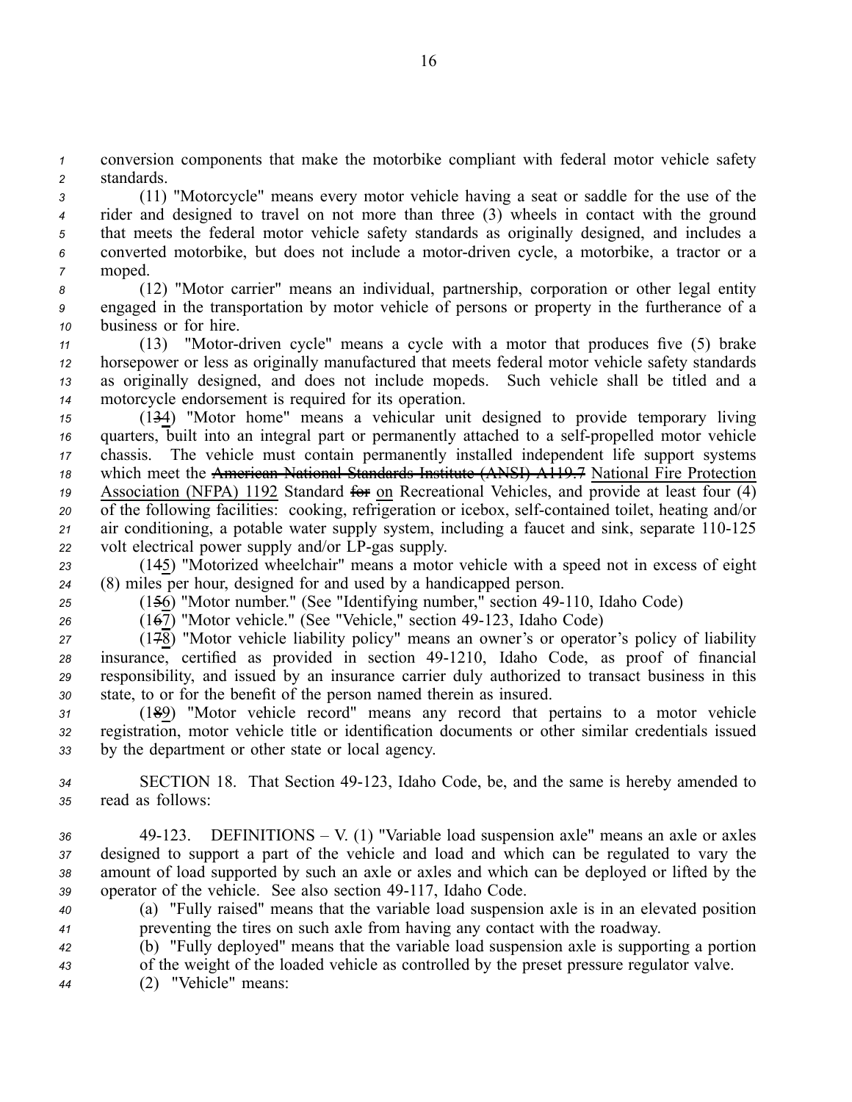*<sup>1</sup>* conversion components that make the motorbike compliant with federal motor vehicle safety *<sup>2</sup>* standards.

 (11) "Motorcycle" means every motor vehicle having <sup>a</sup> seat or saddle for the use of the rider and designed to travel on not more than three (3) wheels in contact with the ground that meets the federal motor vehicle safety standards as originally designed, and includes <sup>a</sup> converted motorbike, but does not include <sup>a</sup> motordriven cycle, <sup>a</sup> motorbike, <sup>a</sup> tractor or <sup>a</sup> *<sup>7</sup>* moped.

*<sup>8</sup>* (12) "Motor carrier" means an individual, partnership, corporation or other legal entity *<sup>9</sup>* engaged in the transportation by motor vehicle of persons or property in the furtherance of <sup>a</sup> *<sup>10</sup>* business or for hire.

11 (13) "Motor-driven cycle" means a cycle with a motor that produces five (5) brake horsepower or less as originally manufactured that meets federal motor vehicle safety standards as originally designed, and does not include mopeds. Such vehicle shall be titled and <sup>a</sup> motorcycle endorsement is required for its operation.

 (134) "Motor home" means <sup>a</sup> vehicular unit designed to provide temporary living quarters, built into an integral part or permanently attached to a self-propelled motor vehicle chassis. The vehicle must contain permanently installed independent life suppor<sup>t</sup> systems which meet the American National Standards Institute (ANSI) A119.7 National Fire Protection 19 Association (NFPA) 1192 Standard <del>for</del> on Recreational Vehicles, and provide at least four (4) 20 of the following facilities: cooking, refrigeration or icebox, self-contained toilet, heating and/or air conditioning, a potable water supply system, including a faucet and sink, separate 110-125 volt electrical power supply and/or LP-gas supply.

*<sup>23</sup>* (145) "Motorized wheelchair" means <sup>a</sup> motor vehicle with <sup>a</sup> speed not in excess of eight *<sup>24</sup>* (8) miles per hour, designed for and used by <sup>a</sup> handicapped person.

*<sup>25</sup>* (156) "Motor number." (See "Identifying number," section 49110, Idaho Code)

<sup>26</sup> (167) "Motor vehicle." (See "Vehicle," section 49-123, Idaho Code)

 $(17\overline{8})$  "Motor vehicle liability policy" means an owner's or operator's policy of liability 28 insurance, certified as provided in section 49-1210, Idaho Code, as proof of financial *<sup>29</sup>* responsibility, and issued by an insurance carrier duly authorized to transact business in this *<sup>30</sup>* state, to or for the benefit of the person named therein as insured.

*<sup>31</sup>* (189) "Motor vehicle record" means any record that pertains to <sup>a</sup> motor vehicle *<sup>32</sup>* registration, motor vehicle title or identification documents or other similar credentials issued *<sup>33</sup>* by the department or other state or local agency.

*<sup>34</sup>* SECTION 18. That Section 49123, Idaho Code, be, and the same is hereby amended to *<sup>35</sup>* read as follows:

 49123. DEFINITIONS – V. (1) "Variable load suspension axle" means an axle or axles designed to suppor<sup>t</sup> <sup>a</sup> par<sup>t</sup> of the vehicle and load and which can be regulated to vary the amount of load supported by such an axle or axles and which can be deployed or lifted by the 39 operator of the vehicle. See also section 49-117, Idaho Code.

*<sup>40</sup>* (a) "Fully raised" means that the variable load suspension axle is in an elevated position *<sup>41</sup>* preventing the tires on such axle from having any contact with the roadway.

*<sup>42</sup>* (b) "Fully deployed" means that the variable load suspension axle is supporting <sup>a</sup> portion *<sup>43</sup>* of the weight of the loaded vehicle as controlled by the prese<sup>t</sup> pressure regulator valve.

*<sup>44</sup>* (2) "Vehicle" means: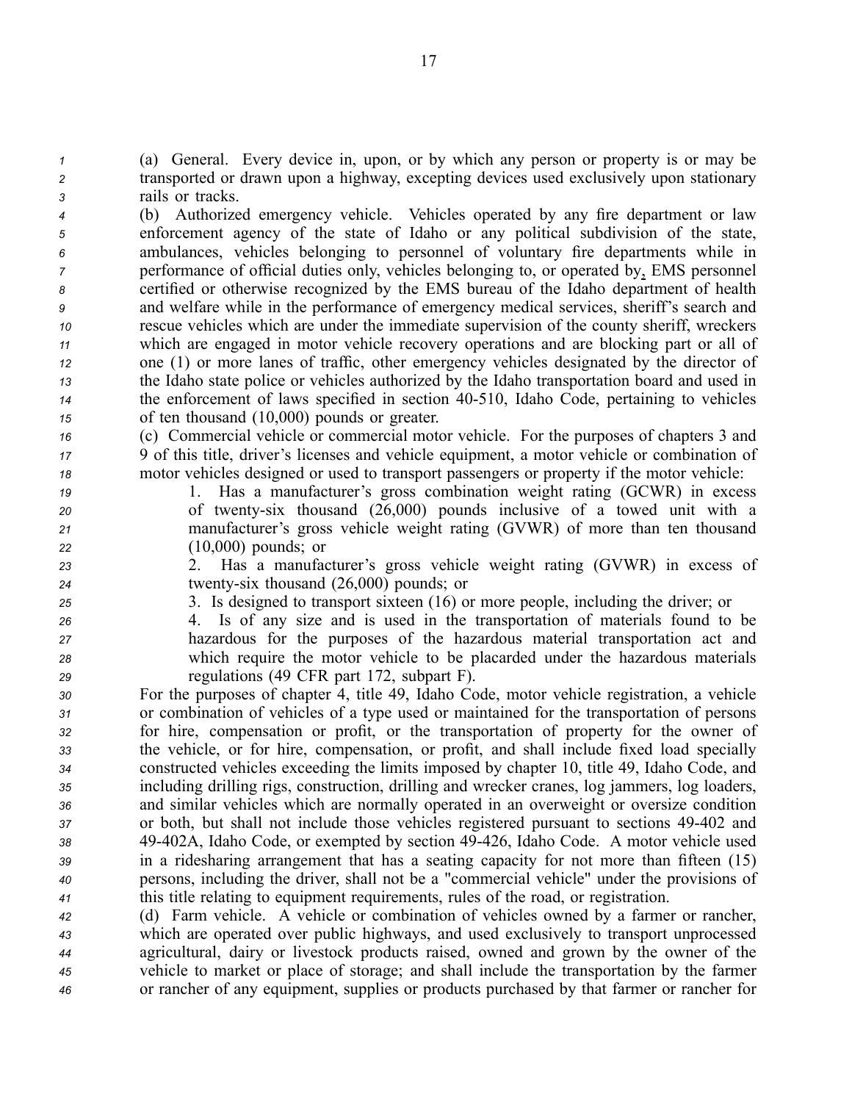*<sup>1</sup>* (a) General. Every device in, upon, or by which any person or property is or may be *<sup>2</sup>* transported or drawn upon <sup>a</sup> highway, excepting devices used exclusively upon stationary *<sup>3</sup>* rails or tracks.

 (b) Authorized emergency vehicle. Vehicles operated by any fire department or law enforcement agency of the state of Idaho or any political subdivision of the state, ambulances, vehicles belonging to personnel of voluntary fire departments while in performance of official duties only, vehicles belonging to, or operated by, EMS personnel certified or otherwise recognized by the EMS bureau of the Idaho department of health and welfare while in the performance of emergency medical services, sheriff's search and rescue vehicles which are under the immediate supervision of the county sheriff, wreckers which are engaged in motor vehicle recovery operations and are blocking par<sup>t</sup> or all of one (1) or more lanes of traffic, other emergency vehicles designated by the director of the Idaho state police or vehicles authorized by the Idaho transportation board and used in the enforcement of laws specified in section 40510, Idaho Code, pertaining to vehicles of ten thousand (10,000) pounds or greater.

*<sup>16</sup>* (c) Commercial vehicle or commercial motor vehicle. For the purposes of chapters 3 and *<sup>17</sup>* 9 of this title, driver's licenses and vehicle equipment, <sup>a</sup> motor vehicle or combination of *<sup>18</sup>* motor vehicles designed or used to transport passengers or property if the motor vehicle:

 1. Has <sup>a</sup> manufacturer's gross combination weight rating (GCWR) in excess of twentysix thousand (26,000) pounds inclusive of <sup>a</sup> towed unit with <sup>a</sup> manufacturer's gross vehicle weight rating (GVWR) of more than ten thousand (10,000) pounds; or

- *<sup>23</sup>* 2. Has <sup>a</sup> manufacturer's gross vehicle weight rating (GVWR) in excess of *<sup>24</sup>* twentysix thousand (26,000) pounds; or
- *<sup>25</sup>* 3. Is designed to transport sixteen (16) or more people, including the driver; or *<sup>26</sup>* 4. Is of any size and is used in the transportation of materials found to be *<sup>27</sup>* hazardous for the purposes of the hazardous material transportation act and *<sup>28</sup>* which require the motor vehicle to be placarded under the hazardous materials

 regulations (49 CFR par<sup>t</sup> 172, subpart F). For the purposes of chapter 4, title 49, Idaho Code, motor vehicle registration, <sup>a</sup> vehicle or combination of vehicles of <sup>a</sup> type used or maintained for the transportation of persons for hire, compensation or profit, or the transportation of property for the owner of the vehicle, or for hire, compensation, or profit, and shall include fixed load specially constructed vehicles exceeding the limits imposed by chapter 10, title 49, Idaho Code, and including drilling rigs, construction, drilling and wrecker cranes, log jammers, log loaders, and similar vehicles which are normally operated in an overweight or oversize condition or both, but shall not include those vehicles registered pursuan<sup>t</sup> to sections 49402 and 49402A, Idaho Code, or exempted by section 49426, Idaho Code. A motor vehicle used in <sup>a</sup> ridesharing arrangemen<sup>t</sup> that has <sup>a</sup> seating capacity for not more than fifteen (15) persons, including the driver, shall not be <sup>a</sup> "commercial vehicle" under the provisions of this title relating to equipment requirements, rules of the road, or registration.

 (d) Farm vehicle. A vehicle or combination of vehicles owned by <sup>a</sup> farmer or rancher, which are operated over public highways, and used exclusively to transport unprocessed agricultural, dairy or livestock products raised, owned and grown by the owner of the vehicle to market or place of storage; and shall include the transportation by the farmer or rancher of any equipment, supplies or products purchased by that farmer or rancher for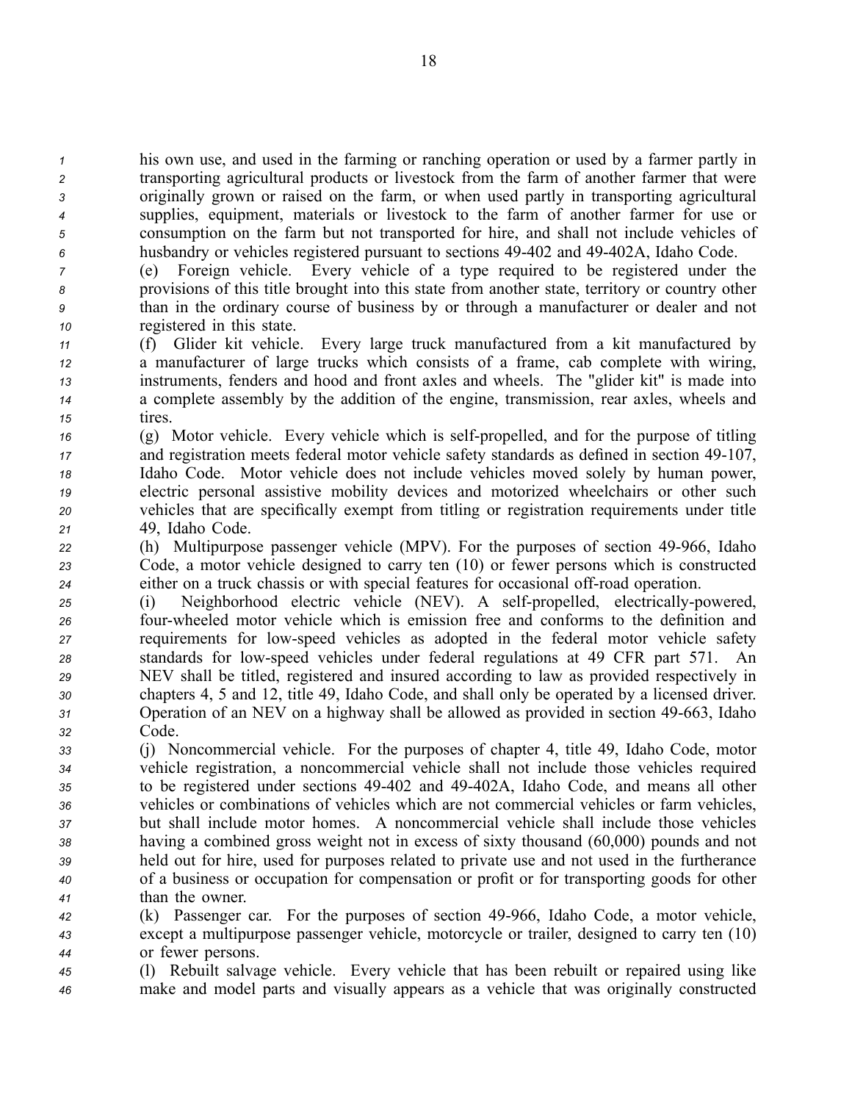his own use, and used in the farming or ranching operation or used by <sup>a</sup> farmer partly in transporting agricultural products or livestock from the farm of another farmer that were originally grown or raised on the farm, or when used partly in transporting agricultural supplies, equipment, materials or livestock to the farm of another farmer for use or consumption on the farm but not transported for hire, and shall not include vehicles of husbandry or vehicles registered pursuan<sup>t</sup> to sections 49402 and 49402A, Idaho Code.

 (e) Foreign vehicle. Every vehicle of <sup>a</sup> type required to be registered under the provisions of this title brought into this state from another state, territory or country other than in the ordinary course of business by or through <sup>a</sup> manufacturer or dealer and not registered in this state.

 (f) Glider kit vehicle. Every large truck manufactured from <sup>a</sup> kit manufactured by <sup>a</sup> manufacturer of large trucks which consists of <sup>a</sup> frame, cab complete with wiring, instruments, fenders and hood and front axles and wheels. The "glider kit" is made into <sup>a</sup> complete assembly by the addition of the engine, transmission, rear axles, wheels and *<sup>15</sup>* tires.

 (g) Motor vehicle. Every vehicle which is self-propelled, and for the purpose of titling <sup>17</sup> and registration meets federal motor vehicle safety standards as defined in section 49-107, Idaho Code. Motor vehicle does not include vehicles moved solely by human power, electric personal assistive mobility devices and motorized wheelchairs or other such vehicles that are specifically exemp<sup>t</sup> from titling or registration requirements under title 49, Idaho Code.

*22* (h) Multipurpose passenger vehicle (MPV). For the purposes of section 49-966, Idaho *<sup>23</sup>* Code, <sup>a</sup> motor vehicle designed to carry ten (10) or fewer persons which is constructed 24 either on a truck chassis or with special features for occasional off-road operation.

 (i) Neighborhood electric vehicle (NEV). A self-propelled, electrically-powered, fourwheeled motor vehicle which is emission free and conforms to the definition and requirements for lowspeed vehicles as adopted in the federal motor vehicle safety standards for lowspeed vehicles under federal regulations at 49 CFR par<sup>t</sup> 571. An NEV shall be titled, registered and insured according to law as provided respectively in chapters 4, 5 and 12, title 49, Idaho Code, and shall only be operated by <sup>a</sup> licensed driver. Operation of an NEV on <sup>a</sup> highway shall be allowed as provided in section 49663, Idaho *<sup>32</sup>* Code.

 (j) Noncommercial vehicle. For the purposes of chapter 4, title 49, Idaho Code, motor vehicle registration, <sup>a</sup> noncommercial vehicle shall not include those vehicles required to be registered under sections 49402 and 49402A, Idaho Code, and means all other vehicles or combinations of vehicles which are not commercial vehicles or farm vehicles, but shall include motor homes. A noncommercial vehicle shall include those vehicles having <sup>a</sup> combined gross weight not in excess of sixty thousand (60,000) pounds and not held out for hire, used for purposes related to private use and not used in the furtherance of <sup>a</sup> business or occupation for compensation or profit or for transporting goods for other than the owner.

*<sup>42</sup>* (k) Passenger car. For the purposes of section 49966, Idaho Code, <sup>a</sup> motor vehicle, *<sup>43</sup>* excep<sup>t</sup> <sup>a</sup> multipurpose passenger vehicle, motorcycle or trailer, designed to carry ten (10) *<sup>44</sup>* or fewer persons.

*<sup>45</sup>* (l) Rebuilt salvage vehicle. Every vehicle that has been rebuilt or repaired using like *<sup>46</sup>* make and model parts and visually appears as <sup>a</sup> vehicle that was originally constructed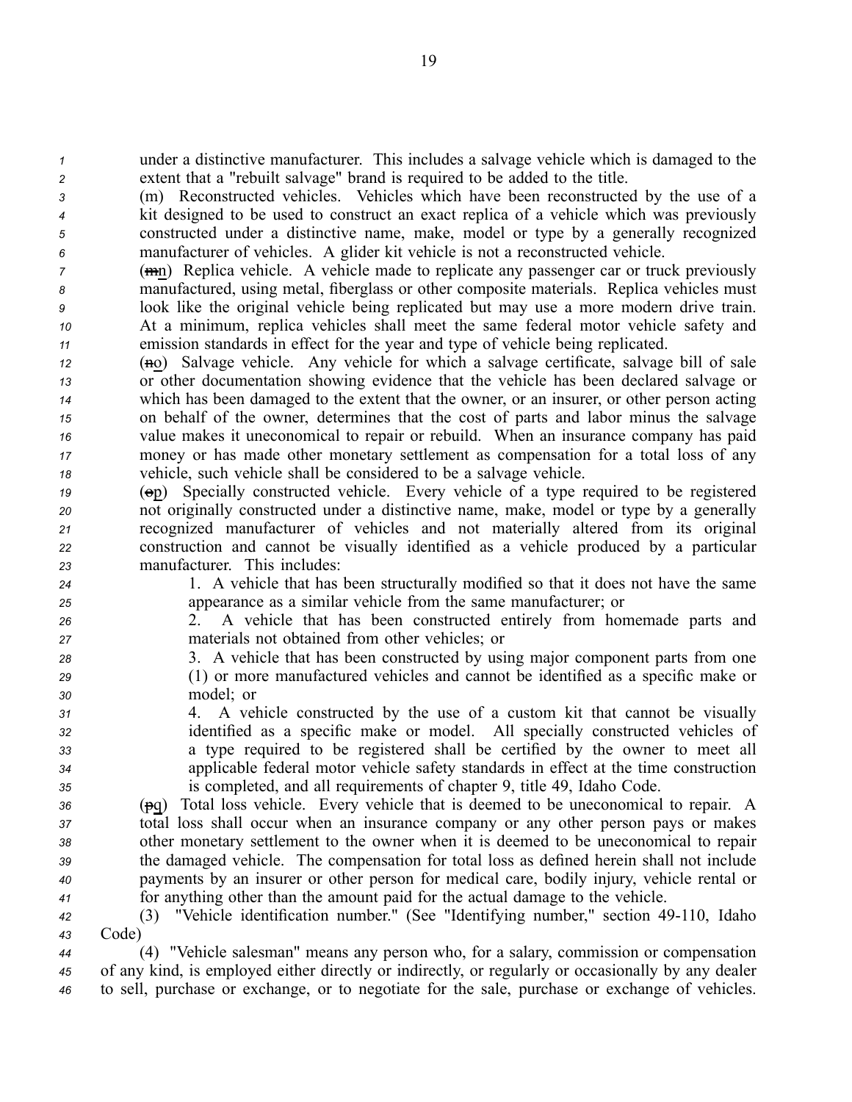*<sup>1</sup>* under <sup>a</sup> distinctive manufacturer. This includes <sup>a</sup> salvage vehicle which is damaged to the *<sup>2</sup>* extent that <sup>a</sup> "rebuilt salvage" brand is required to be added to the title.

 (m) Reconstructed vehicles. Vehicles which have been reconstructed by the use of <sup>a</sup> kit designed to be used to construct an exact replica of <sup>a</sup> vehicle which was previously constructed under <sup>a</sup> distinctive name, make, model or type by <sup>a</sup> generally recognized manufacturer of vehicles. A glider kit vehicle is not <sup>a</sup> reconstructed vehicle.

 (mn) Replica vehicle. A vehicle made to replicate any passenger car or truck previously manufactured, using metal, fiberglass or other composite materials. Replica vehicles must look like the original vehicle being replicated but may use <sup>a</sup> more modern drive train. At <sup>a</sup> minimum, replica vehicles shall meet the same federal motor vehicle safety and emission standards in effect for the year and type of vehicle being replicated.

 (no) Salvage vehicle. Any vehicle for which a salvage certificate, salvage bill of sale or other documentation showing evidence that the vehicle has been declared salvage or which has been damaged to the extent that the owner, or an insurer, or other person acting on behalf of the owner, determines that the cost of parts and labor minus the salvage value makes it uneconomical to repair or rebuild. When an insurance company has paid money or has made other monetary settlement as compensation for <sup>a</sup> total loss of any vehicle, such vehicle shall be considered to be <sup>a</sup> salvage vehicle.

 (op) Specially constructed vehicle. Every vehicle of <sup>a</sup> type required to be registered not originally constructed under <sup>a</sup> distinctive name, make, model or type by <sup>a</sup> generally recognized manufacturer of vehicles and not materially altered from its original construction and cannot be visually identified as <sup>a</sup> vehicle produced by <sup>a</sup> particular manufacturer. This includes:

*<sup>24</sup>* 1. A vehicle that has been structurally modified so that it does not have the same *<sup>25</sup>* appearance as <sup>a</sup> similar vehicle from the same manufacturer; or

*<sup>26</sup>* 2. A vehicle that has been constructed entirely from homemade parts and *<sup>27</sup>* materials not obtained from other vehicles; or

*<sup>28</sup>* 3. A vehicle that has been constructed by using major componen<sup>t</sup> parts from one *<sup>29</sup>* (1) or more manufactured vehicles and cannot be identified as <sup>a</sup> specific make or *<sup>30</sup>* model; or

 4. A vehicle constructed by the use of <sup>a</sup> custom kit that cannot be visually identified as <sup>a</sup> specific make or model. All specially constructed vehicles of <sup>a</sup> type required to be registered shall be certified by the owner to meet all applicable federal motor vehicle safety standards in effect at the time construction is completed, and all requirements of chapter 9, title 49, Idaho Code.

 (pq) Total loss vehicle. Every vehicle that is deemed to be uneconomical to repair. A total loss shall occur when an insurance company or any other person pays or makes other monetary settlement to the owner when it is deemed to be uneconomical to repair the damaged vehicle. The compensation for total loss as defined herein shall not include payments by an insurer or other person for medical care, bodily injury, vehicle rental or for anything other than the amount paid for the actual damage to the vehicle.

*<sup>42</sup>* (3) "Vehicle identification number." (See "Identifying number," section 49110, Idaho *<sup>43</sup>* Code)

*<sup>44</sup>* (4) "Vehicle salesman" means any person who, for <sup>a</sup> salary, commission or compensation *<sup>45</sup>* of any kind, is employed either directly or indirectly, or regularly or occasionally by any dealer *<sup>46</sup>* to sell, purchase or exchange, or to negotiate for the sale, purchase or exchange of vehicles.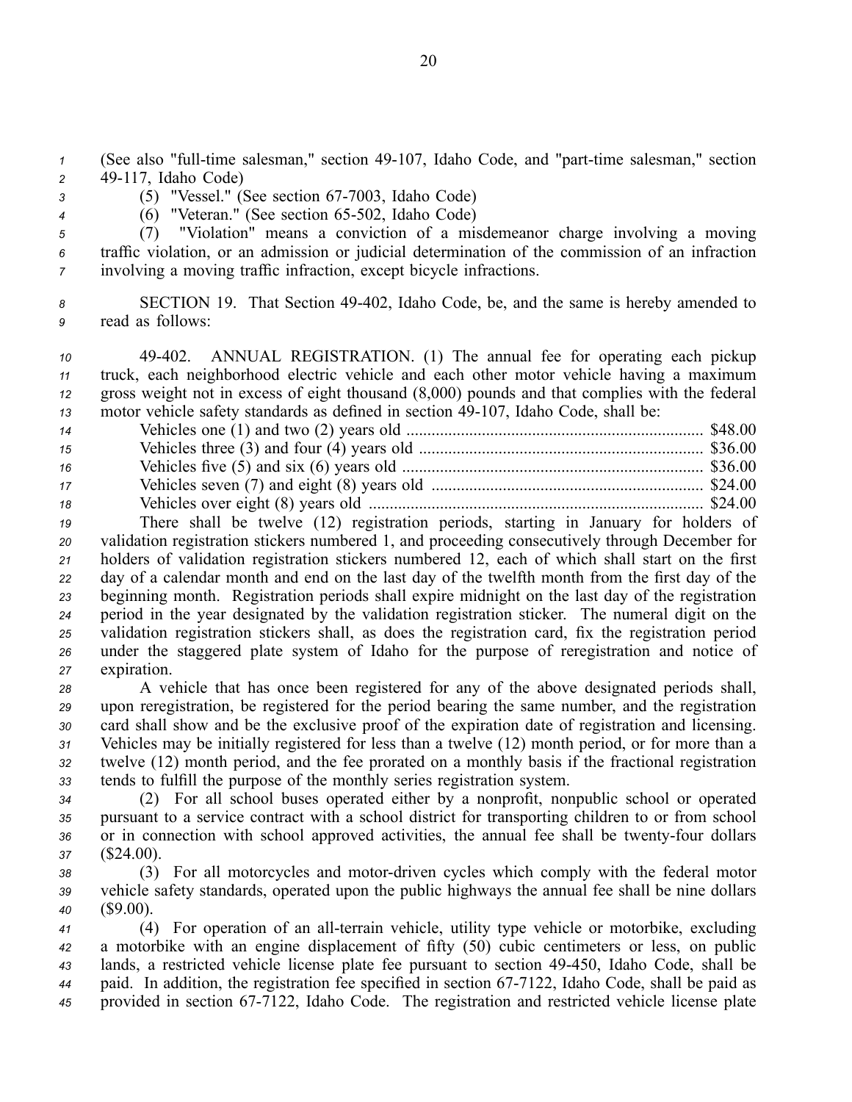*1* (See also "full-time salesman," section 49-107, Idaho Code, and "part-time salesman," section *<sup>2</sup>* 49117, Idaho Code)

*3* (5) "Vessel." (See section 67-7003, Idaho Code)

4 (6) "Veteran." (See section 65-502, Idaho Code)

*<sup>5</sup>* (7) "Violation" means <sup>a</sup> conviction of <sup>a</sup> misdemeanor charge involving <sup>a</sup> moving *<sup>6</sup>* traffic violation, or an admission or judicial determination of the commission of an infraction *<sup>7</sup>* involving <sup>a</sup> moving traffic infraction, excep<sup>t</sup> bicycle infractions.

*<sup>8</sup>* SECTION 19. That Section 49402, Idaho Code, be, and the same is hereby amended to *<sup>9</sup>* read as follows:

 49402. ANNUAL REGISTRATION. (1) The annual fee for operating each pickup truck, each neighborhood electric vehicle and each other motor vehicle having <sup>a</sup> maximum gross weight not in excess of eight thousand (8,000) pounds and that complies with the federal motor vehicle safety standards as defined in section 49-107, Idaho Code, shall be:

| 14 |  |
|----|--|
| 15 |  |
| 16 |  |
| 17 |  |
| 18 |  |
|    |  |

 There shall be twelve (12) registration periods, starting in January for holders of validation registration stickers numbered 1, and proceeding consecutively through December for holders of validation registration stickers numbered 12, each of which shall start on the first day of <sup>a</sup> calendar month and end on the last day of the twelfth month from the first day of the beginning month. Registration periods shall expire midnight on the last day of the registration period in the year designated by the validation registration sticker. The numeral digit on the validation registration stickers shall, as does the registration card, fix the registration period under the staggered plate system of Idaho for the purpose of reregistration and notice of expiration.

 A vehicle that has once been registered for any of the above designated periods shall, upon reregistration, be registered for the period bearing the same number, and the registration card shall show and be the exclusive proof of the expiration date of registration and licensing. Vehicles may be initially registered for less than <sup>a</sup> twelve (12) month period, or for more than <sup>a</sup> twelve (12) month period, and the fee prorated on <sup>a</sup> monthly basis if the fractional registration tends to fulfill the purpose of the monthly series registration system.

 (2) For all school buses operated either by <sup>a</sup> nonprofit, nonpublic school or operated pursuan<sup>t</sup> to <sup>a</sup> service contract with <sup>a</sup> school district for transporting children to or from school 36 or in connection with school approved activities, the annual fee shall be twenty-four dollars (\$24.00).

38 (3) For all motorcycles and motor-driven cycles which comply with the federal motor *<sup>39</sup>* vehicle safety standards, operated upon the public highways the annual fee shall be nine dollars *<sup>40</sup>* (\$9.00).

 (4) For operation of an allterrain vehicle, utility type vehicle or motorbike, excluding <sup>a</sup> motorbike with an engine displacement of fifty (50) cubic centimeters or less, on public lands, <sup>a</sup> restricted vehicle license plate fee pursuan<sup>t</sup> to section 49450, Idaho Code, shall be paid. In addition, the registration fee specified in section 67-7122, Idaho Code, shall be paid as provided in section 677122, Idaho Code. The registration and restricted vehicle license plate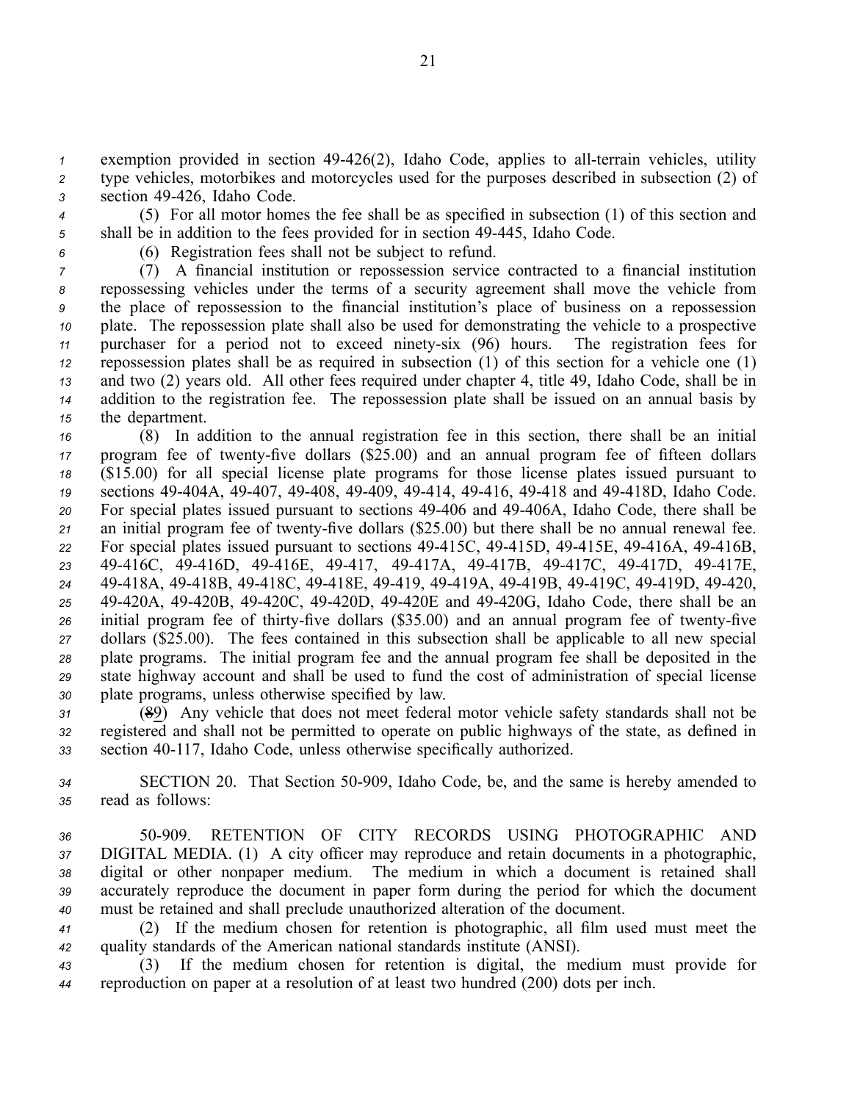*1* exemption provided in section 49-426(2), Idaho Code, applies to all-terrain vehicles, utility *<sup>2</sup>* type vehicles, motorbikes and motorcycles used for the purposes described in subsection (2) of *<sup>3</sup>* section 49426, Idaho Code.

*<sup>4</sup>* (5) For all motor homes the fee shall be as specified in subsection (1) of this section and 5 shall be in addition to the fees provided for in section 49-445, Idaho Code.

- 
- *<sup>6</sup>* (6) Registration fees shall not be subject to refund.

 (7) A financial institution or repossession service contracted to <sup>a</sup> financial institution repossessing vehicles under the terms of <sup>a</sup> security agreemen<sup>t</sup> shall move the vehicle from the place of repossession to the financial institution's place of business on <sup>a</sup> repossession plate. The repossession plate shall also be used for demonstrating the vehicle to <sup>a</sup> prospective 11 purchaser for a period not to exceed ninety-six (96) hours. The registration fees for repossession plates shall be as required in subsection (1) of this section for <sup>a</sup> vehicle one (1) and two (2) years old. All other fees required under chapter 4, title 49, Idaho Code, shall be in addition to the registration fee. The repossession plate shall be issued on an annual basis by the department.

 (8) In addition to the annual registration fee in this section, there shall be an initial 17 program fee of twenty-five dollars (\$25.00) and an annual program fee of fifteen dollars (\$15.00) for all special license plate programs for those license plates issued pursuan<sup>t</sup> to sections 49404A, 49407, 49408, 49409, 49414, 49416, 49418 and 49418D, Idaho Code. For special plates issued pursuan<sup>t</sup> to sections 49406 and 49406A, Idaho Code, there shall be 21 an initial program fee of twenty-five dollars (\$25.00) but there shall be no annual renewal fee. For special plates issued pursuan<sup>t</sup> to sections 49415C, 49415D, 49415E, 49416A, 49416B, 49416C, 49416D, 49416E, 49417, 49417A, 49417B, 49417C, 49417D, 49417E, 49418A, 49418B, 49418C, 49418E, 49419, 49419A, 49419B, 49419C, 49419D, 49420, 49420A, 49420B, 49420C, 49420D, 49420E and 49420G, Idaho Code, there shall be an 26 initial program fee of thirty-five dollars (\$35.00) and an annual program fee of twenty-five dollars (\$25.00). The fees contained in this subsection shall be applicable to all new special plate programs. The initial program fee and the annual program fee shall be deposited in the state highway account and shall be used to fund the cost of administration of special license plate programs, unless otherwise specified by law.

*<sup>31</sup>* (89) Any vehicle that does not meet federal motor vehicle safety standards shall not be *<sup>32</sup>* registered and shall not be permitted to operate on public highways of the state, as defined in *<sup>33</sup>* section 40117, Idaho Code, unless otherwise specifically authorized.

*<sup>34</sup>* SECTION 20. That Section 50909, Idaho Code, be, and the same is hereby amended to *<sup>35</sup>* read as follows:

 50909. RETENTION OF CITY RECORDS USING PHOTOGRAPHIC AND DIGITAL MEDIA. (1) A city officer may reproduce and retain documents in <sup>a</sup> photographic, digital or other nonpaper medium. The medium in which <sup>a</sup> document is retained shall accurately reproduce the document in paper form during the period for which the document must be retained and shall preclude unauthorized alteration of the document.

*<sup>41</sup>* (2) If the medium chosen for retention is photographic, all film used must meet the *<sup>42</sup>* quality standards of the American national standards institute (ANSI).

*<sup>43</sup>* (3) If the medium chosen for retention is digital, the medium must provide for *<sup>44</sup>* reproduction on paper at <sup>a</sup> resolution of at least two hundred (200) dots per inch.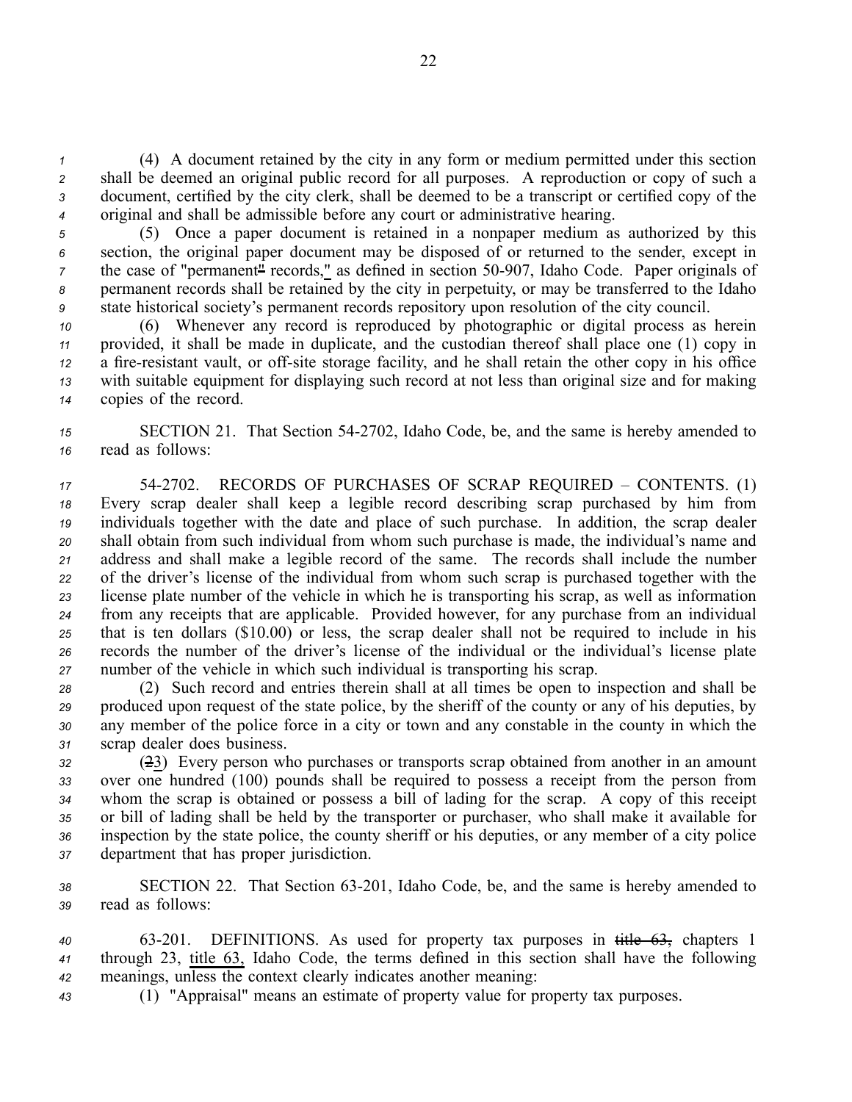(4) A document retained by the city in any form or medium permitted under this section shall be deemed an original public record for all purposes. A reproduction or copy of such <sup>a</sup> document, certified by the city clerk, shall be deemed to be <sup>a</sup> transcript or certified copy of the original and shall be admissible before any court or administrative hearing.

 (5) Once <sup>a</sup> paper document is retained in <sup>a</sup> nonpaper medium as authorized by this section, the original paper document may be disposed of or returned to the sender, excep<sup>t</sup> in <sup>7</sup> the case of "permanent<sup>"</sup> records," as defined in section 50-907, Idaho Code. Paper originals of permanen<sup>t</sup> records shall be retained by the city in perpetuity, or may be transferred to the Idaho state historical society's permanen<sup>t</sup> records repository upon resolution of the city council.

 (6) Whenever any record is reproduced by photographic or digital process as herein provided, it shall be made in duplicate, and the custodian thereof shall place one (1) copy in a fire-resistant vault, or off-site storage facility, and he shall retain the other copy in his office with suitable equipment for displaying such record at not less than original size and for making copies of the record.

*<sup>15</sup>* SECTION 21. That Section 542702, Idaho Code, be, and the same is hereby amended to *<sup>16</sup>* read as follows:

 542702. RECORDS OF PURCHASES OF SCRAP REQUIRED – CONTENTS. (1) Every scrap dealer shall keep <sup>a</sup> legible record describing scrap purchased by him from individuals together with the date and place of such purchase. In addition, the scrap dealer shall obtain from such individual from whom such purchase is made, the individual's name and address and shall make <sup>a</sup> legible record of the same. The records shall include the number of the driver's license of the individual from whom such scrap is purchased together with the license plate number of the vehicle in which he is transporting his scrap, as well as information from any receipts that are applicable. Provided however, for any purchase from an individual that is ten dollars (\$10.00) or less, the scrap dealer shall not be required to include in his records the number of the driver's license of the individual or the individual's license plate number of the vehicle in which such individual is transporting his scrap.

 (2) Such record and entries therein shall at all times be open to inspection and shall be produced upon reques<sup>t</sup> of the state police, by the sheriff of the county or any of his deputies, by any member of the police force in <sup>a</sup> city or town and any constable in the county in which the scrap dealer does business.

 (23) Every person who purchases or transports scrap obtained from another in an amount over one hundred (100) pounds shall be required to possess <sup>a</sup> receipt from the person from whom the scrap is obtained or possess <sup>a</sup> bill of lading for the scrap. A copy of this receipt or bill of lading shall be held by the transporter or purchaser, who shall make it available for inspection by the state police, the county sheriff or his deputies, or any member of <sup>a</sup> city police department that has proper jurisdiction.

38 SECTION 22. That Section 63-201, Idaho Code, be, and the same is hereby amended to *<sup>39</sup>* read as follows:

*<sup>40</sup>* 63201. DEFINITIONS. As used for property tax purposes in title 63, chapters 1 *<sup>41</sup>* through 23, title 63, Idaho Code, the terms defined in this section shall have the following *<sup>42</sup>* meanings, unless the context clearly indicates another meaning:

*<sup>43</sup>* (1) "Appraisal" means an estimate of property value for property tax purposes.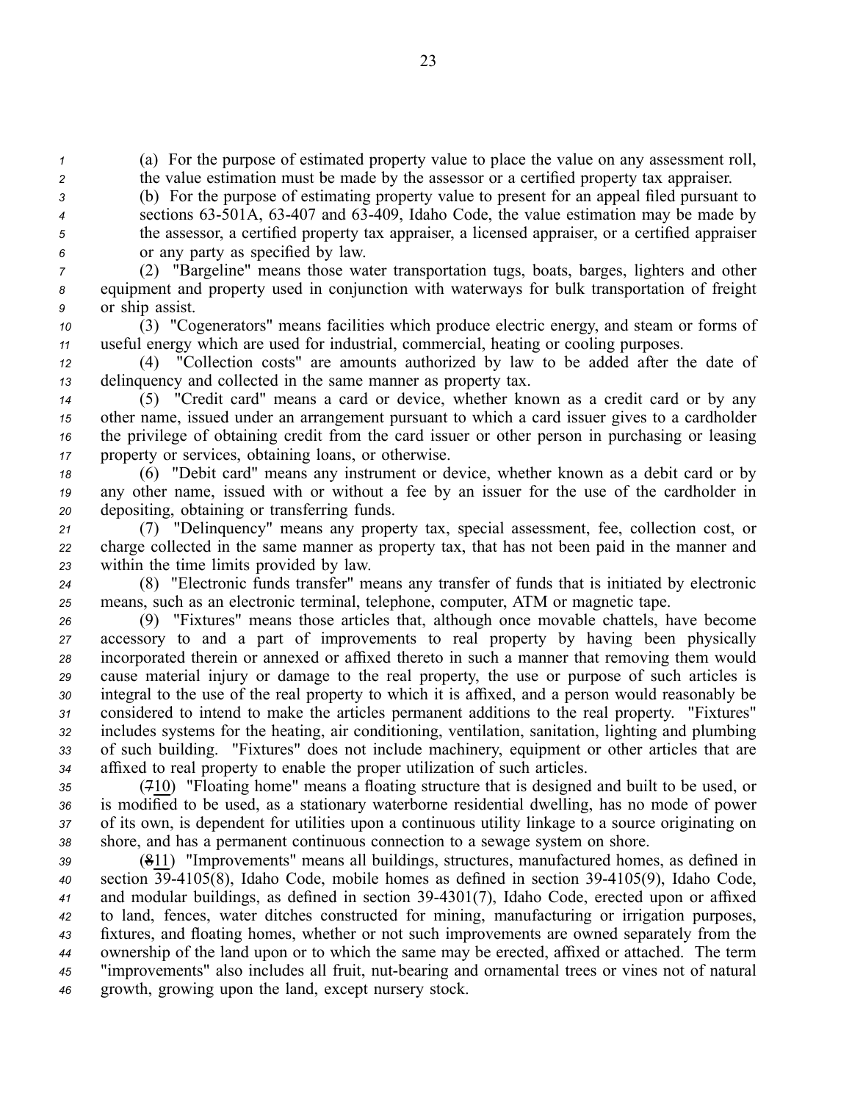*<sup>1</sup>* (a) For the purpose of estimated property value to place the value on any assessment roll,

*<sup>2</sup>* the value estimation must be made by the assessor or <sup>a</sup> certified property tax appraiser.

 (b) For the purpose of estimating property value to presen<sup>t</sup> for an appeal filed pursuan<sup>t</sup> to sections 63501A, 63407 and 63409, Idaho Code, the value estimation may be made by the assessor, <sup>a</sup> certified property tax appraiser, <sup>a</sup> licensed appraiser, or <sup>a</sup> certified appraiser or any party as specified by law.

*<sup>7</sup>* (2) "Bargeline" means those water transportation tugs, boats, barges, lighters and other *<sup>8</sup>* equipment and property used in conjunction with waterways for bulk transportation of freight *<sup>9</sup>* or ship assist.

*<sup>10</sup>* (3) "Cogenerators" means facilities which produce electric energy, and steam or forms of *<sup>11</sup>* useful energy which are used for industrial, commercial, heating or cooling purposes.

*<sup>12</sup>* (4) "Collection costs" are amounts authorized by law to be added after the date of *<sup>13</sup>* delinquency and collected in the same manner as property tax.

 (5) "Credit card" means <sup>a</sup> card or device, whether known as <sup>a</sup> credit card or by any other name, issued under an arrangemen<sup>t</sup> pursuan<sup>t</sup> to which <sup>a</sup> card issuer gives to <sup>a</sup> cardholder the privilege of obtaining credit from the card issuer or other person in purchasing or leasing property or services, obtaining loans, or otherwise.

*<sup>18</sup>* (6) "Debit card" means any instrument or device, whether known as <sup>a</sup> debit card or by *<sup>19</sup>* any other name, issued with or without <sup>a</sup> fee by an issuer for the use of the cardholder in *<sup>20</sup>* depositing, obtaining or transferring funds.

*<sup>21</sup>* (7) "Delinquency" means any property tax, special assessment, fee, collection cost, or *<sup>22</sup>* charge collected in the same manner as property tax, that has not been paid in the manner and *<sup>23</sup>* within the time limits provided by law.

*<sup>24</sup>* (8) "Electronic funds transfer" means any transfer of funds that is initiated by electronic *<sup>25</sup>* means, such as an electronic terminal, telephone, computer, ATM or magnetic tape.

 (9) "Fixtures" means those articles that, although once movable chattels, have become accessory to and <sup>a</sup> par<sup>t</sup> of improvements to real property by having been physically incorporated therein or annexed or affixed thereto in such <sup>a</sup> manner that removing them would cause material injury or damage to the real property, the use or purpose of such articles is integral to the use of the real property to which it is affixed, and <sup>a</sup> person would reasonably be considered to intend to make the articles permanen<sup>t</sup> additions to the real property. "Fixtures" includes systems for the heating, air conditioning, ventilation, sanitation, lighting and plumbing of such building. "Fixtures" does not include machinery, equipment or other articles that are affixed to real property to enable the proper utilization of such articles.

 (710) "Floating home" means <sup>a</sup> floating structure that is designed and built to be used, or is modified to be used, as <sup>a</sup> stationary waterborne residential dwelling, has no mode of power of its own, is dependent for utilities upon <sup>a</sup> continuous utility linkage to <sup>a</sup> source originating on shore, and has <sup>a</sup> permanen<sup>t</sup> continuous connection to <sup>a</sup> sewage system on shore.

 (811) "Improvements" means all buildings, structures, manufactured homes, as defined in section 394105(8), Idaho Code, mobile homes as defined in section 394105(9), Idaho Code, and modular buildings, as defined in section 394301(7), Idaho Code, erected upon or affixed to land, fences, water ditches constructed for mining, manufacturing or irrigation purposes, fixtures, and floating homes, whether or not such improvements are owned separately from the ownership of the land upon or to which the same may be erected, affixed or attached. The term <sup>45</sup> "improvements" also includes all fruit, nut-bearing and ornamental trees or vines not of natural growth, growing upon the land, excep<sup>t</sup> nursery stock.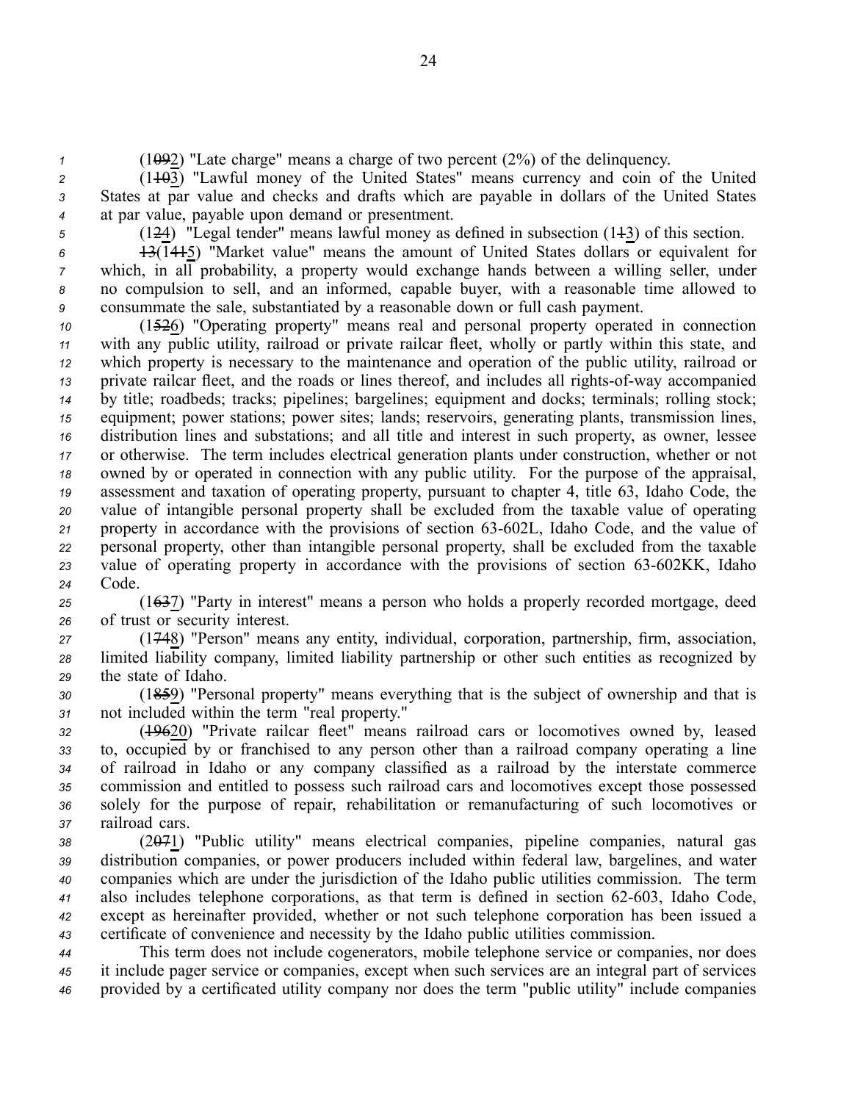*<sup>1</sup>* (1092) "Late charge" means <sup>a</sup> charge of two percen<sup>t</sup> (2%) of the delinquency.

 $2(1103)$  "Lawful money of the United States" means currency and coin of the United *<sup>3</sup>* States at par value and checks and drafts which are payable in dollars of the United States *<sup>4</sup>* at par value, payable upon demand or presentment.

*<sup>5</sup>* (124) "Legal tender" means lawful money as defined in subsection (113) of this section.

 13(1415) "Market value" means the amount of United States dollars or equivalent for which, in all probability, <sup>a</sup> property would exchange hands between <sup>a</sup> willing seller, under no compulsion to sell, and an informed, capable buyer, with <sup>a</sup> reasonable time allowed to consummate the sale, substantiated by <sup>a</sup> reasonable down or full cash payment.

 (1526) "Operating property" means real and personal property operated in connection with any public utility, railroad or private railcar fleet, wholly or partly within this state, and which property is necessary to the maintenance and operation of the public utility, railroad or private railcar fleet, and the roads or lines thereof, and includes all rights-of-way accompanied by title; roadbeds; tracks; pipelines; bargelines; equipment and docks; terminals; rolling stock; equipment; power stations; power sites; lands; reservoirs, generating plants, transmission lines, distribution lines and substations; and all title and interest in such property, as owner, lessee or otherwise. The term includes electrical generation plants under construction, whether or not owned by or operated in connection with any public utility. For the purpose of the appraisal, assessment and taxation of operating property, pursuan<sup>t</sup> to chapter 4, title 63, Idaho Code, the value of intangible personal property shall be excluded from the taxable value of operating 21 property in accordance with the provisions of section 63-602L, Idaho Code, and the value of personal property, other than intangible personal property, shall be excluded from the taxable 23 value of operating property in accordance with the provisions of section 63-602KK, Idaho *<sup>24</sup>* Code.

*<sup>25</sup>* (1637) "Party in interest" means <sup>a</sup> person who holds <sup>a</sup> properly recorded mortgage, deed *<sup>26</sup>* of trust or security interest.

*<sup>27</sup>* (1748) "Person" means any entity, individual, corporation, partnership, firm, association, *<sup>28</sup>* limited liability company, limited liability partnership or other such entities as recognized by *<sup>29</sup>* the state of Idaho.

*<sup>30</sup>* (1859) "Personal property" means everything that is the subject of ownership and that is *<sup>31</sup>* not included within the term "real property."

 (19620) "Private railcar fleet" means railroad cars or locomotives owned by, leased to, occupied by or franchised to any person other than <sup>a</sup> railroad company operating <sup>a</sup> line of railroad in Idaho or any company classified as <sup>a</sup> railroad by the interstate commerce commission and entitled to possess such railroad cars and locomotives excep<sup>t</sup> those possessed solely for the purpose of repair, rehabilitation or remanufacturing of such locomotives or railroad cars.

 (2071) "Public utility" means electrical companies, pipeline companies, natural gas distribution companies, or power producers included within federal law, bargelines, and water companies which are under the jurisdiction of the Idaho public utilities commission. The term also includes telephone corporations, as that term is defined in section 62-603, Idaho Code, excep<sup>t</sup> as hereinafter provided, whether or not such telephone corporation has been issued <sup>a</sup> certificate of convenience and necessity by the Idaho public utilities commission.

*<sup>44</sup>* This term does not include cogenerators, mobile telephone service or companies, nor does *<sup>45</sup>* it include pager service or companies, excep<sup>t</sup> when such services are an integral par<sup>t</sup> of services *<sup>46</sup>* provided by <sup>a</sup> certificated utility company nor does the term "public utility" include companies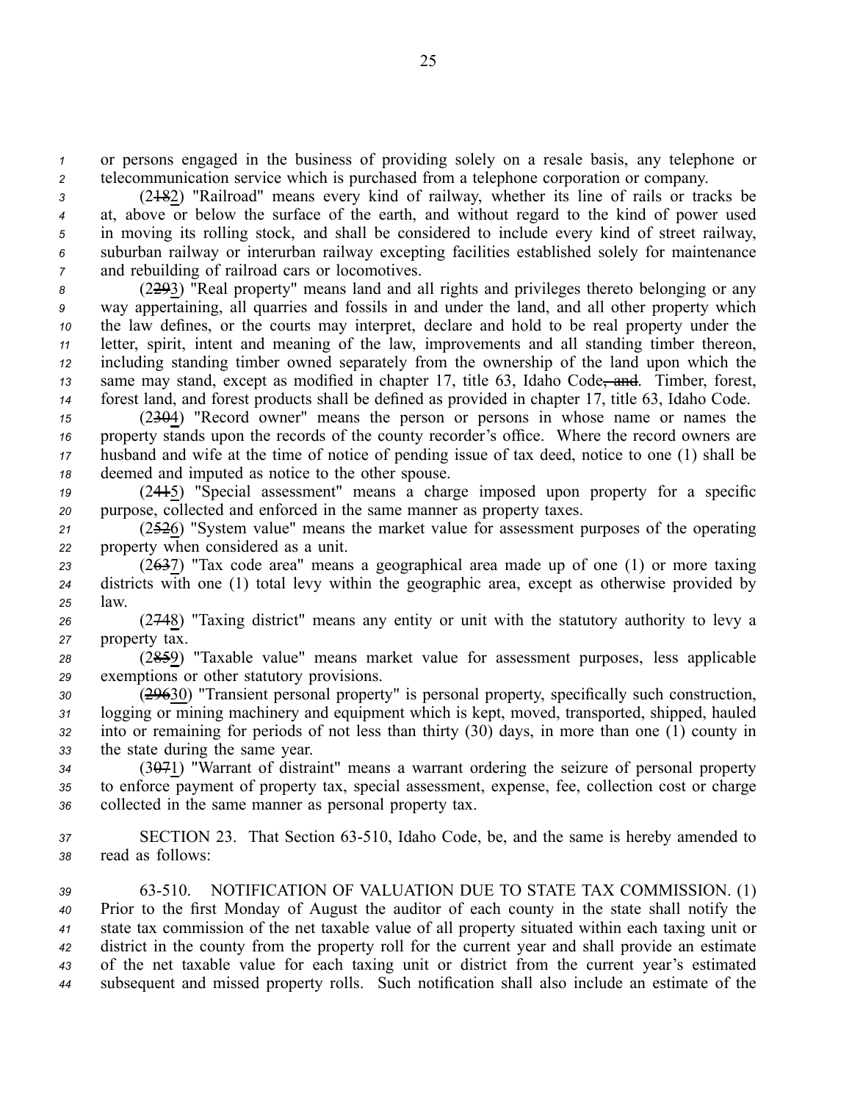*<sup>1</sup>* or persons engaged in the business of providing solely on <sup>a</sup> resale basis, any telephone or *<sup>2</sup>* telecommunication service which is purchased from <sup>a</sup> telephone corporation or company.

 (2182) "Railroad" means every kind of railway, whether its line of rails or tracks be 4 at, above or below the surface of the earth, and without regard to the kind of power used in moving its rolling stock, and shall be considered to include every kind of street railway, suburban railway or interurban railway excepting facilities established solely for maintenance and rebuilding of railroad cars or locomotives.

 (2293) "Real property" means land and all rights and privileges thereto belonging or any way appertaining, all quarries and fossils in and under the land, and all other property which the law defines, or the courts may interpret, declare and hold to be real property under the letter, spirit, intent and meaning of the law, improvements and all standing timber thereon, including standing timber owned separately from the ownership of the land upon which the 13 same may stand, except as modified in chapter 17, title 63, Idaho Code, and. Timber, forest, forest land, and forest products shall be defined as provided in chapter 17, title 63, Idaho Code.

 (2304) "Record owner" means the person or persons in whose name or names the 16 property stands upon the records of the county recorder's office. Where the record owners are husband and wife at the time of notice of pending issue of tax deed, notice to one (1) shall be deemed and imputed as notice to the other spouse.

*<sup>19</sup>* (2415) "Special assessment" means <sup>a</sup> charge imposed upon property for <sup>a</sup> specific *<sup>20</sup>* purpose, collected and enforced in the same manner as property taxes.

*<sup>21</sup>* (2526) "System value" means the market value for assessment purposes of the operating *<sup>22</sup>* property when considered as <sup>a</sup> unit.

*<sup>23</sup>* (2637) "Tax code area" means <sup>a</sup> geographical area made up of one (1) or more taxing *<sup>24</sup>* districts with one (1) total levy within the geographic area, excep<sup>t</sup> as otherwise provided by *<sup>25</sup>* law.

*<sup>26</sup>* (2748) "Taxing district" means any entity or unit with the statutory authority to levy <sup>a</sup> *<sup>27</sup>* property tax.

*<sup>28</sup>* (2859) "Taxable value" means market value for assessment purposes, less applicable *<sup>29</sup>* exemptions or other statutory provisions.

 (29630) "Transient personal property" is personal property, specifically such construction, logging or mining machinery and equipment which is kept, moved, transported, shipped, hauled into or remaining for periods of not less than thirty (30) days, in more than one (1) county in the state during the same year.

*<sup>34</sup>* (3071) "Warrant of distraint" means <sup>a</sup> warrant ordering the seizure of personal property *<sup>35</sup>* to enforce paymen<sup>t</sup> of property tax, special assessment, expense, fee, collection cost or charge *<sup>36</sup>* collected in the same manner as personal property tax.

*<sup>37</sup>* SECTION 23. That Section 63510, Idaho Code, be, and the same is hereby amended to *<sup>38</sup>* read as follows:

 63510. NOTIFICATION OF VALUATION DUE TO STATE TAX COMMISSION. (1) Prior to the first Monday of August the auditor of each county in the state shall notify the state tax commission of the net taxable value of all property situated within each taxing unit or district in the county from the property roll for the current year and shall provide an estimate of the net taxable value for each taxing unit or district from the current year's estimated subsequent and missed property rolls. Such notification shall also include an estimate of the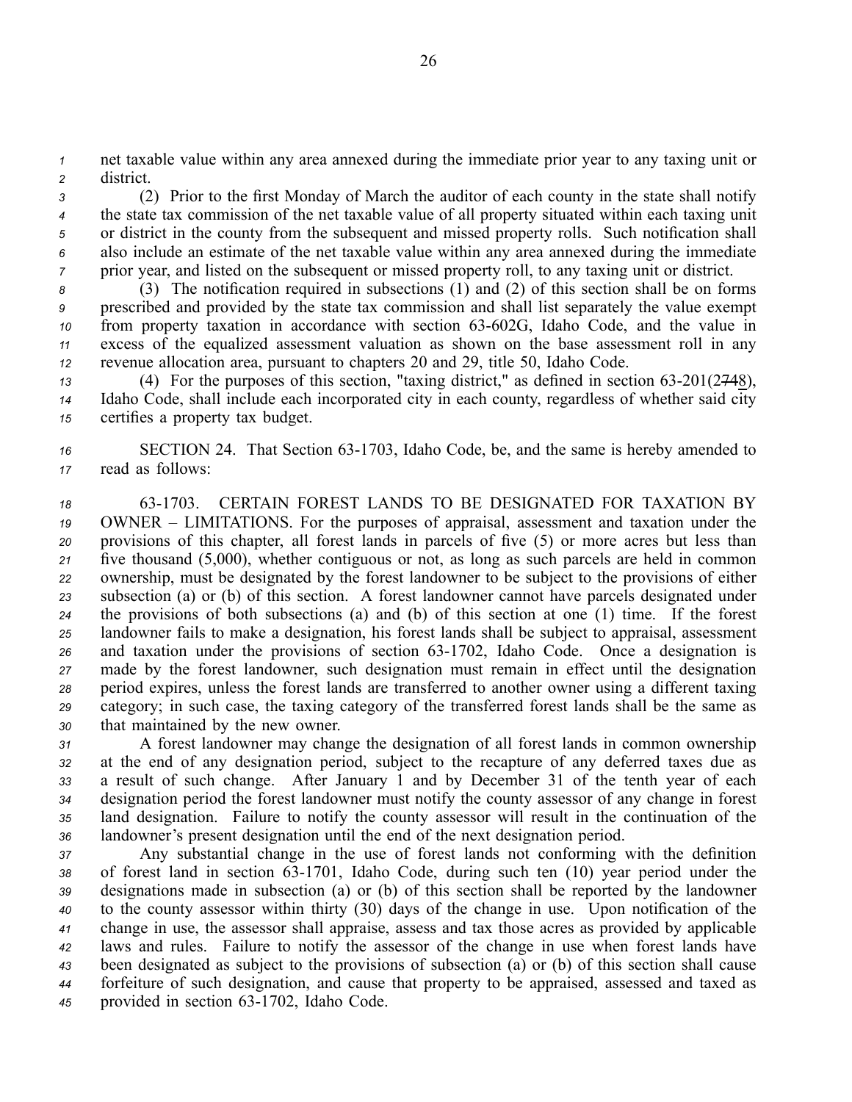*<sup>1</sup>* net taxable value within any area annexed during the immediate prior year to any taxing unit or *<sup>2</sup>* district.

 (2) Prior to the first Monday of March the auditor of each county in the state shall notify the state tax commission of the net taxable value of all property situated within each taxing unit or district in the county from the subsequent and missed property rolls. Such notification shall also include an estimate of the net taxable value within any area annexed during the immediate prior year, and listed on the subsequent or missed property roll, to any taxing unit or district.

 (3) The notification required in subsections (1) and (2) of this section shall be on forms prescribed and provided by the state tax commission and shall list separately the value exemp<sup>t</sup> from property taxation in accordance with section 63-602G, Idaho Code, and the value in excess of the equalized assessment valuation as shown on the base assessment roll in any revenue allocation area, pursuan<sup>t</sup> to chapters 20 and 29, title 50, Idaho Code.

*13* (4) For the purposes of this section, "taxing district," as defined in section 63-201(2748), *<sup>14</sup>* Idaho Code, shall include each incorporated city in each county, regardless of whether said city *<sup>15</sup>* certifies <sup>a</sup> property tax budget.

16 SECTION 24. That Section 63-1703, Idaho Code, be, and the same is hereby amended to *<sup>17</sup>* read as follows:

 631703. CERTAIN FOREST LANDS TO BE DESIGNATED FOR TAXATION BY OWNER – LIMITATIONS. For the purposes of appraisal, assessment and taxation under the provisions of this chapter, all forest lands in parcels of five (5) or more acres but less than five thousand (5,000), whether contiguous or not, as long as such parcels are held in common ownership, must be designated by the forest landowner to be subject to the provisions of either subsection (a) or (b) of this section. A forest landowner cannot have parcels designated under the provisions of both subsections (a) and (b) of this section at one (1) time. If the forest landowner fails to make <sup>a</sup> designation, his forest lands shall be subject to appraisal, assessment 26 and taxation under the provisions of section 63-1702, Idaho Code. Once a designation is made by the forest landowner, such designation must remain in effect until the designation period expires, unless the forest lands are transferred to another owner using <sup>a</sup> different taxing category; in such case, the taxing category of the transferred forest lands shall be the same as that maintained by the new owner.

 A forest landowner may change the designation of all forest lands in common ownership at the end of any designation period, subject to the recapture of any deferred taxes due as <sup>a</sup> result of such change. After January 1 and by December 31 of the tenth year of each designation period the forest landowner must notify the county assessor of any change in forest land designation. Failure to notify the county assessor will result in the continuation of the landowner's presen<sup>t</sup> designation until the end of the next designation period.

 Any substantial change in the use of forest lands not conforming with the definition 38 of forest land in section 63-1701, Idaho Code, during such ten (10) year period under the designations made in subsection (a) or (b) of this section shall be reported by the landowner to the county assessor within thirty (30) days of the change in use. Upon notification of the change in use, the assessor shall appraise, assess and tax those acres as provided by applicable laws and rules. Failure to notify the assessor of the change in use when forest lands have been designated as subject to the provisions of subsection (a) or (b) of this section shall cause forfeiture of such designation, and cause that property to be appraised, assessed and taxed as 45 provided in section 63-1702, Idaho Code.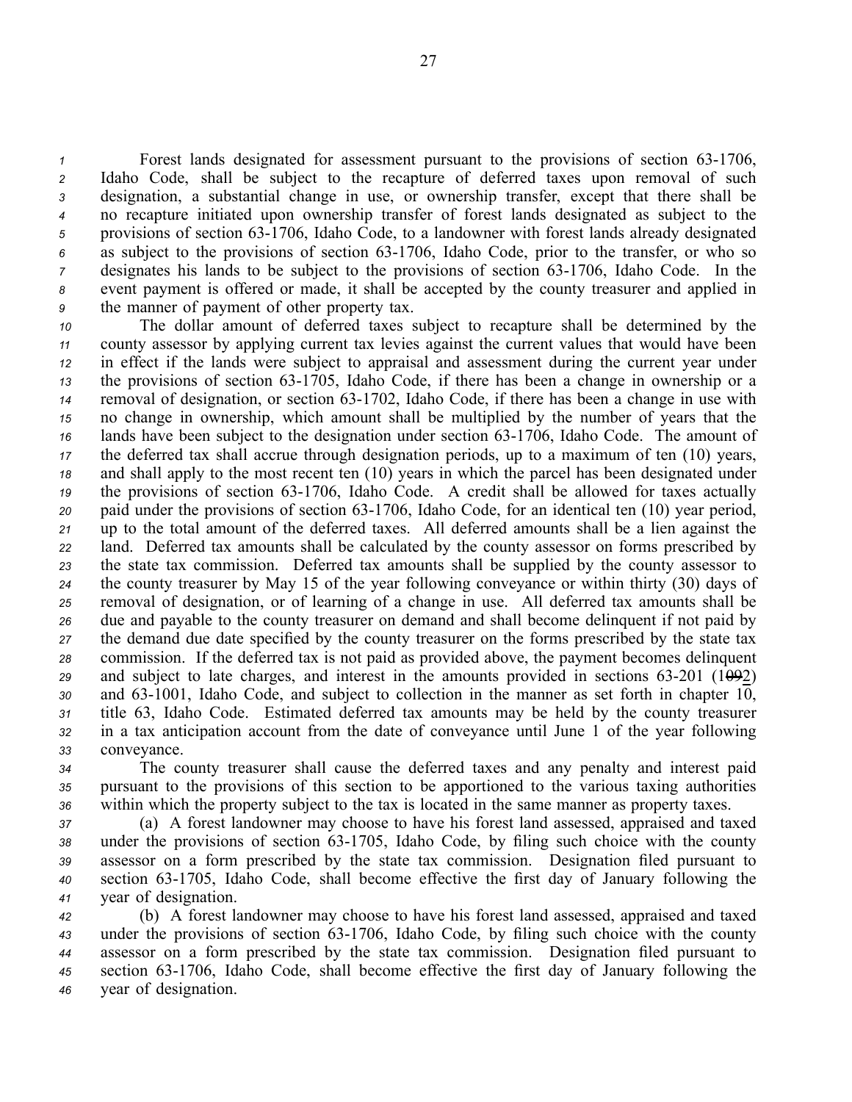Forest lands designated for assessment pursuant to the provisions of section 63-1706, Idaho Code, shall be subject to the recapture of deferred taxes upon removal of such designation, <sup>a</sup> substantial change in use, or ownership transfer, excep<sup>t</sup> that there shall be no recapture initiated upon ownership transfer of forest lands designated as subject to the 5 provisions of section 63-1706, Idaho Code, to a landowner with forest lands already designated <sup>6</sup> as subject to the provisions of section 63-1706, Idaho Code, prior to the transfer, or who so designates his lands to be subject to the provisions of section 63-1706, Idaho Code. In the event paymen<sup>t</sup> is offered or made, it shall be accepted by the county treasurer and applied in the manner of paymen<sup>t</sup> of other property tax.

 The dollar amount of deferred taxes subject to recapture shall be determined by the county assessor by applying current tax levies against the current values that would have been in effect if the lands were subject to appraisal and assessment during the current year under the provisions of section 63-1705, Idaho Code, if there has been a change in ownership or a removal of designation, or section 631702, Idaho Code, if there has been <sup>a</sup> change in use with no change in ownership, which amount shall be multiplied by the number of years that the 16 lands have been subject to the designation under section 63-1706, Idaho Code. The amount of the deferred tax shall accrue through designation periods, up to <sup>a</sup> maximum of ten (10) years, and shall apply to the most recent ten (10) years in which the parcel has been designated under <sup>19</sup> the provisions of section 63-1706, Idaho Code. A credit shall be allowed for taxes actually 20 paid under the provisions of section 63-1706, Idaho Code, for an identical ten (10) year period, up to the total amount of the deferred taxes. All deferred amounts shall be <sup>a</sup> lien against the land. Deferred tax amounts shall be calculated by the county assessor on forms prescribed by the state tax commission. Deferred tax amounts shall be supplied by the county assessor to the county treasurer by May 15 of the year following conveyance or within thirty (30) days of removal of designation, or of learning of <sup>a</sup> change in use. All deferred tax amounts shall be due and payable to the county treasurer on demand and shall become delinquent if not paid by the demand due date specified by the county treasurer on the forms prescribed by the state tax commission. If the deferred tax is not paid as provided above, the paymen<sup>t</sup> becomes delinquent 29 and subject to late charges, and interest in the amounts provided in sections  $63-201$  (1<del>09</del>2) 30 and 63-1001, Idaho Code, and subject to collection in the manner as set forth in chapter 10, title 63, Idaho Code. Estimated deferred tax amounts may be held by the county treasurer in <sup>a</sup> tax anticipation account from the date of conveyance until June 1 of the year following conveyance.

*<sup>34</sup>* The county treasurer shall cause the deferred taxes and any penalty and interest paid *<sup>35</sup>* pursuan<sup>t</sup> to the provisions of this section to be apportioned to the various taxing authorities *<sup>36</sup>* within which the property subject to the tax is located in the same manner as property taxes.

 (a) A forest landowner may choose to have his forest land assessed, appraised and taxed 38 under the provisions of section 63-1705, Idaho Code, by filing such choice with the county assessor on <sup>a</sup> form prescribed by the state tax commission. Designation filed pursuan<sup>t</sup> to section 631705, Idaho Code, shall become effective the first day of January following the year of designation.

 (b) A forest landowner may choose to have his forest land assessed, appraised and taxed 43 under the provisions of section 63-1706, Idaho Code, by filing such choice with the county assessor on <sup>a</sup> form prescribed by the state tax commission. Designation filed pursuan<sup>t</sup> to section 631706, Idaho Code, shall become effective the first day of January following the year of designation.